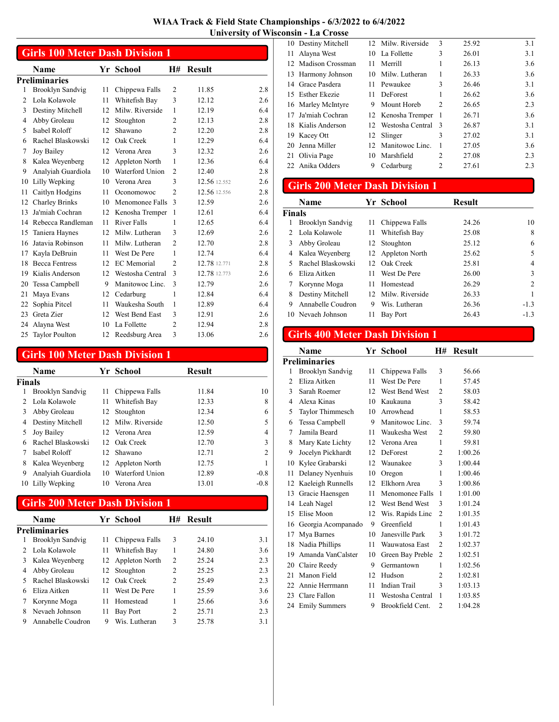|                | <b>Girls 100 Meter Dash Division 1</b> |    |                    |                |               |     |  |  |
|----------------|----------------------------------------|----|--------------------|----------------|---------------|-----|--|--|
|                | Name                                   |    | Yr School          | <b>H#</b>      | <b>Result</b> |     |  |  |
|                | <b>Preliminaries</b>                   |    |                    |                |               |     |  |  |
| 1              | Brooklyn Sandvig                       | 11 | Chippewa Falls     | 2              | 11.85         | 2.8 |  |  |
| $\overline{2}$ | Lola Kolawole                          | 11 | Whitefish Bay      | 3              | 12.12         | 2.6 |  |  |
| 3              | Destiny Mitchell                       | 12 | Milw. Riverside    | 1              | 12.19         | 6.4 |  |  |
| $\overline{4}$ | Abby Groleau                           | 12 | Stoughton          | $\overline{c}$ | 12.13         | 2.8 |  |  |
| 5              | Isabel Roloff                          | 12 | Shawano            | $\overline{c}$ | 12.20         | 2.8 |  |  |
| 6              | Rachel Blaskowski                      | 12 | Oak Creek          | 1              | 12.29         | 6.4 |  |  |
| 7              | Joy Bailey                             | 12 | Verona Area        | 3              | 12.32         | 2.6 |  |  |
| 8              | Kalea Weyenberg                        | 12 | Appleton North     | 1              | 12.36         | 6.4 |  |  |
| 9              | Analyiah Guardiola                     | 10 | Waterford Union    | $\overline{c}$ | 12.40         | 2.8 |  |  |
| 10             | Lilly Wepking                          | 10 | Verona Area        | 3              | 12.56 12.552  | 2.6 |  |  |
| 11             | Caitlyn Hodgins                        | 11 | Oconomowoc         | $\overline{c}$ | 12.56 12.556  | 2.8 |  |  |
| 12             | <b>Charley Brinks</b>                  | 10 | Menomonee Falls    | 3              | 12.59         | 2.6 |  |  |
| 13             | Ja'miah Cochran                        | 12 | Kenosha Tremper    | 1              | 12.61         | 6.4 |  |  |
| 14             | Rebecca Randleman                      | 11 | <b>River Falls</b> | 1              | 12.65         | 6.4 |  |  |
| 15             | Taniera Haynes                         | 12 | Milw. Lutheran     | 3              | 12.69         | 2.6 |  |  |
| 16             | Jatavia Robinson                       | 11 | Milw. Lutheran     | $\overline{c}$ | 12.70         | 2.8 |  |  |
| 17             | Kayla DeBruin                          | 11 | West De Pere       | 1              | 12.74         | 6.4 |  |  |
| 18             | <b>Becca Fentress</b>                  | 12 | <b>EC</b> Memorial | $\overline{c}$ | 12.78 12.771  | 2.8 |  |  |
| 19             | Kialis Anderson                        | 12 | Westosha Central   | 3              | 12.78 12.773  | 2.6 |  |  |
| 20             | Tessa Campbell                         | 9  | Manitowoc Linc.    | 3              | 12.79         | 2.6 |  |  |
| 21             | Maya Evans                             | 12 | Cedarburg          | 1              | 12.84         | 6.4 |  |  |
| 22             | Sophia Pitcel                          | 11 | Waukesha South     | 1              | 12.89         | 6.4 |  |  |
| 23             | Greta Zier                             | 12 | West Bend East     | 3              | 12.91         | 2.6 |  |  |
| 24             | Alayna West                            | 10 | La Follette        | $\overline{c}$ | 12.94         | 2.8 |  |  |
| 25             | <b>Taylor Poulton</b>                  | 12 | Reedsburg Area     | 3              | 13.06         | 2.6 |  |  |

### Girls 100 Meter Dash Division 1

|               | <b>Name</b>        |                 | Yr School          | Result |                |
|---------------|--------------------|-----------------|--------------------|--------|----------------|
| <b>Finals</b> |                    |                 |                    |        |                |
|               | Brooklyn Sandvig   | 11              | Chippewa Falls     | 11.84  | 10             |
|               | Lola Kolawole      | 11              | Whitefish Bay      | 12.33  | 8              |
| 3             | Abby Groleau       | 12              | Stoughton          | 12.34  | 6              |
| 4             | Destiny Mitchell   |                 | 12 Milw. Riverside | 12.50  | 5              |
| 5             | Joy Bailey         |                 | 12. Verona Area    | 12.59  | 4              |
| 6             | Rachel Blaskowski  | 12 <sup>7</sup> | Oak Creek          | 12.70  | 3              |
|               | Isabel Roloff      | 12.             | Shawano            | 12.71  | $\overline{2}$ |
| 8             | Kalea Weyenberg    | 12              | Appleton North     | 12.75  |                |
| 9             | Analyiah Guardiola | 10              | Waterford Union    | 12.89  | $-0.8$         |
| 10            | Lilly Wepking      | 10              | Verona Area        | 13.01  | $-0.8$         |

### Girls 200 Meter Dash Division 1

|   | <b>Name</b>          |     | Yr School         | H#            | <b>Result</b> |     |
|---|----------------------|-----|-------------------|---------------|---------------|-----|
|   | <b>Preliminaries</b> |     |                   |               |               |     |
| 1 | Brooklyn Sandvig     | 11  | Chippewa Falls    | 3             | 24.10         | 3.1 |
|   | Lola Kolawole        | 11  | Whitefish Bay     | 1             | 24.80         | 3.6 |
| 3 | Kalea Weyenberg      |     | 12 Appleton North | $\mathcal{L}$ | 25.24         | 2.3 |
|   | Abby Groleau         | 12  | Stoughton         | 2             | 25.25         | 2.3 |
|   | Rachel Blaskowski    | 12. | Oak Creek         | $\mathcal{L}$ | 25.49         | 2.3 |
| 6 | Eliza Aitken         | 11  | West De Pere      |               | 25.59         | 3.6 |
|   | Korynne Moga         | 11  | Homestead         |               | 25.66         | 3.6 |
| 8 | Nevaeh Johnson       | 11  | Bay Port          | 2             | 25.71         | 2.3 |
| 9 | Annabelle Coudron    | 9   | Wis. Lutheran     | 3             | 25.78         | 3.1 |

|    | 10 Destiny Mitchell | 12 <sup>1</sup> | Milw. Riverside    | 3              | 25.92 | 3.1 |
|----|---------------------|-----------------|--------------------|----------------|-------|-----|
| 11 | Alayna West         |                 | 10 La Follette     | 3              | 26.01 | 3.1 |
|    | 12 Madison Crossman | 11              | Merrill            | 1              | 26.13 | 3.6 |
|    | 13 Harmony Johnson  | 10.             | Milw. Lutheran     | 1              | 26.33 | 3.6 |
|    | 14 Grace Pasdera    |                 | 11 Pewaukee        | 3              | 26.46 | 3.1 |
|    | 15 Esther Ekezie    | 11              | <b>DeForest</b>    | 1              | 26.62 | 3.6 |
|    | 16 Marley McIntyre  | 9               | Mount Horeb        | $\mathfrak{D}$ | 26.65 | 2.3 |
| 17 | Ja'miah Cochran     |                 | 12 Kenosha Tremper | 1              | 26.71 | 3.6 |
|    | 18 Kialis Anderson  | 12 <sup>1</sup> | Westosha Central   | - 3            | 26.87 | 3.1 |
|    | 19 Kacey Ott        | 12              | Slinger            | 3              | 27.02 | 3.1 |
|    | 20 Jenna Miller     | 12.             | Manitowoc Linc.    | 1              | 27.05 | 3.6 |
|    | 21 Olivia Page      | 10              | Marshfield         | $\mathfrak{D}$ | 27.08 | 2.3 |
|    | 22 Anika Odders     | 9               | Cedarburg          | $\overline{c}$ | 27.61 | 2.3 |
|    |                     |                 |                    |                |       |     |

# Girls 200 Meter Dash Division 1

|        | <b>Name</b>       |    | Yr School          | <b>Result</b> |                |
|--------|-------------------|----|--------------------|---------------|----------------|
| Finals |                   |    |                    |               |                |
| 1      | Brooklyn Sandvig  | 11 | Chippewa Falls     | 24.26         | 10             |
|        | Lola Kolawole     | 11 | Whitefish Bay      | 25.08         | 8              |
| 3      | Abby Groleau      |    | 12 Stoughton       | 25.12         | 6              |
| 4      | Kalea Weyenberg   |    | 12 Appleton North  | 25.62         | 5              |
|        | Rachel Blaskowski |    | 12 Oak Creek       | 25.81         | 4              |
| 6      | Eliza Aitken      | 11 | West De Pere       | 26.00         | 3              |
|        | Korynne Moga      | 11 | Homestead          | 26.29         | $\overline{c}$ |
| 8      | Destiny Mitchell  |    | 12 Milw. Riverside | 26.33         |                |
| 9      | Annabelle Coudron | 9  | Wis. Lutheran      | 26.36         | $-1.3$         |
|        | 10 Nevaeh Johnson | 11 | <b>Bay Port</b>    | 26.43         | $-1.3$         |

# Girls 400 Meter Dash Division 1

|    | Name                 |    | Yr School        | Η#             | <b>Result</b> |  |
|----|----------------------|----|------------------|----------------|---------------|--|
|    | <b>Preliminaries</b> |    |                  |                |               |  |
| 1  | Brooklyn Sandvig     | 11 | Chippewa Falls   | 3              | 56.66         |  |
| 2  | Eliza Aitken         | 11 | West De Pere     | 1              | 57.45         |  |
| 3  | Sarah Roemer         | 12 | West Bend West   | 2              | 58.03         |  |
| 4  | Alexa Kinas          | 10 | Kaukauna         | 3              | 58.42         |  |
| 5  | Taylor Thimmesch     | 10 | Arrowhead        | 1              | 58.53         |  |
| 6  | Tessa Campbell       | 9  | Manitowoc Linc.  | 3              | 59.74         |  |
| 7  | Jamila Beard         | 11 | Waukesha West    | $\overline{2}$ | 59.80         |  |
| 8  | Mary Kate Lichty     | 12 | Verona Area      | 1              | 59.81         |  |
| 9  | Jocelyn Pickhardt    | 12 | DeForest         | 2              | 1:00.26       |  |
| 10 | Kylee Grabarski      | 12 | Waunakee         | 3              | 1:00.44       |  |
| 11 | Delaney Nyenhuis     | 10 | Oregon           | 1              | 1:00.46       |  |
| 12 | Kaeleigh Runnells    | 12 | Elkhorn Area     | 3              | 1:00.86       |  |
|    | 13 Gracie Haensgen   | 11 | Menomonee Falls  | 1              | 1:01.00       |  |
|    | 14 Leah Nagel        | 12 | West Bend West   | 3              | 1:01.24       |  |
| 15 | Elise Moon           | 12 | Wis. Rapids Linc | 2              | 1:01.35       |  |
| 16 | Georgia Acompanado   | 9  | Greenfield       | 1              | 1:01.43       |  |
| 17 | Mya Barnes           | 10 | Janesville Park  | 3              | 1:01.72       |  |
| 18 | Nadia Phillips       | 11 | Wauwatosa East   | $\overline{2}$ | 1:02.37       |  |
| 19 | Amanda VanCalster    | 10 | Green Bay Preble | 2              | 1:02.51       |  |
|    | 20 Claire Reedy      | 9  | Germantown       | 1              | 1:02.56       |  |
| 21 | Manon Field          | 12 | Hudson           | 2              | 1:02.81       |  |
| 22 | Annie Herrmann       | 11 | Indian Trail     | 3              | 1:03.13       |  |
| 23 | Clare Fallon         | 11 | Westosha Central | 1              | 1:03.85       |  |
|    | 24 Emily Summers     | 9  | Brookfield Cent. | 2              | 1:04.28       |  |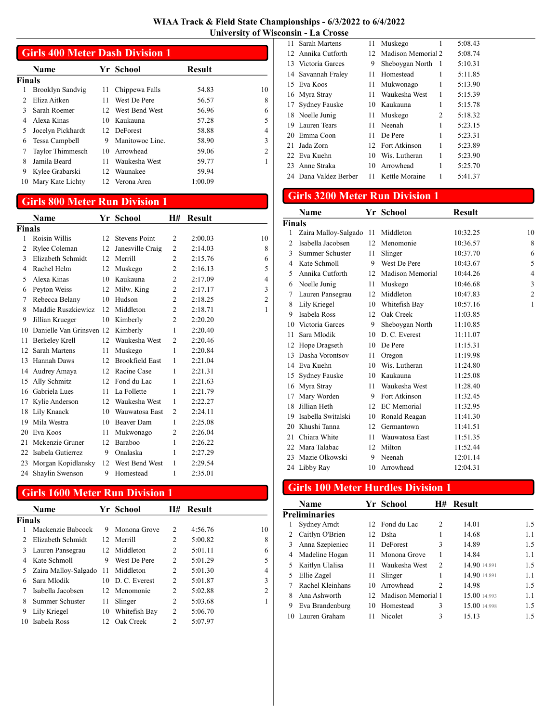|               | <b>Girls 400 Meter Dash Division 1</b> |                 |                 |               |    |  |  |  |  |
|---------------|----------------------------------------|-----------------|-----------------|---------------|----|--|--|--|--|
|               | <b>Name</b>                            |                 | Yr School       | <b>Result</b> |    |  |  |  |  |
| Finals        |                                        |                 |                 |               |    |  |  |  |  |
| 1             | <b>Brooklyn Sandvig</b>                | 11              | Chippewa Falls  | 54.83         | 10 |  |  |  |  |
| $\mathcal{L}$ | Eliza Aitken                           | 11              | West De Pere    | 56.57         | 8  |  |  |  |  |
| 3             | Sarah Roemer                           | 12 <sub>1</sub> | West Bend West  | 56.96         | 6  |  |  |  |  |
| 4             | Alexa Kinas                            | 10              | Kaukauna        | 57.28         | 5  |  |  |  |  |
| 5             | Jocelyn Pickhardt                      | 12 <sub>1</sub> | <b>DeForest</b> | 58.88         | 4  |  |  |  |  |
| 6             | Tessa Campbell                         | 9               | Manitowoc Linc. | 58.90         | 3  |  |  |  |  |
| 7             | Taylor Thimmesch                       | 10              | Arrowhead       | 59.06         | 2  |  |  |  |  |
| 8             | Jamila Beard                           | 11              | Waukesha West   | 59.77         |    |  |  |  |  |
| 9             | Kylee Grabarski                        | 12              | Waunakee        | 59.94         |    |  |  |  |  |
| 10            | Mary Kate Lichty                       | 12.             | Verona Area     | 1:00.09       |    |  |  |  |  |

### Girls 800 Meter Run Division 1

|        | Name                     |    | Yr School              | <b>H#</b>      | <b>Result</b> |    |
|--------|--------------------------|----|------------------------|----------------|---------------|----|
| Finals |                          |    |                        |                |               |    |
| 1      | Roisin Willis            | 12 | <b>Stevens Point</b>   | 2              | 2:00.03       | 10 |
| 2      | Rylee Coleman            | 12 | Janesville Craig       | 2              | 2:14.03       | 8  |
| 3      | Elizabeth Schmidt        | 12 | Merrill                | $\overline{c}$ | 2:15.76       | 6  |
| 4      | Rachel Helm              | 12 | Muskego                | 2              | 2:16.13       | 5  |
| 5      | Alexa Kinas              | 10 | Kaukauna               | 2              | 2:17.09       | 4  |
| 6      | Peyton Weiss             | 12 | Milw. King             | 2              | 2:17.17       | 3  |
| 7      | Rebecca Belany           | 10 | Hudson                 | $\overline{c}$ | 2:18.25       | 2  |
| 8      | Maddie Ruszkiewicz       | 12 | Middleton              | 2              | 2:18.71       | 1  |
| 9      | Jillian Krueger          | 10 | Kimberly               | 2              | 2:20.20       |    |
| 10     | Danielle Van Grinsven 12 |    | Kimberly               | 1              | 2:20.40       |    |
| 11     | Berkeley Krell           | 12 | Waukesha West          | 2              | 2:20.46       |    |
| 12     | Sarah Martens            | 11 | Muskego                | 1              | 2:20.84       |    |
| 13     | Hannah Daws              | 12 | <b>Brookfield East</b> | 1              | 2:21.04       |    |
| 14     | Audrey Amaya             | 12 | Racine Case            | 1              | 2:21.31       |    |
| 15     | Ally Schmitz             | 12 | Fond du Lac            | 1              | 2:21.63       |    |
| 16     | Gabriela Lues            | 11 | La Follette            | 1              | 2:21.79       |    |
| 17     | Kylie Anderson           | 12 | Waukesha West          | 1              | 2:22.27       |    |
| 18     | Lily Knaack              | 10 | Wauwatosa East         | 2              | 2:24.11       |    |
| 19     | Mila Westra              | 10 | Beaver Dam             | 1              | 2:25.08       |    |
| 20     | Eva Koos                 | 11 | Mukwonago              | 2              | 2:26.04       |    |
| 21     | Mckenzie Gruner          | 12 | Baraboo                | 1              | 2:26.22       |    |
| 22     | Isabela Gutierrez        | 9  | Onalaska               | 1              | 2:27.29       |    |
| 23     | Morgan Kopidlansky       | 12 | West Bend West         | 1              | 2:29.54       |    |
|        | 24 Shaylin Swenson       | 9  | Homestead              | 1              | 2:35.01       |    |

### Girls 1600 Meter Run Division 1

|               | Name                 |     | Yr School       | H#             | <b>Result</b> |                |
|---------------|----------------------|-----|-----------------|----------------|---------------|----------------|
| <b>Finals</b> |                      |     |                 |                |               |                |
|               | Mackenzie Babcock    | 9   | Monona Grove    | 2              | 4:56.76       | 10             |
|               | Elizabeth Schmidt    |     | 12 Merrill      | 2              | 5:00.82       | 8              |
| 3             | Lauren Pansegrau     |     | 12 Middleton    | 2              | 5:01.11       | 6              |
| 4             | Kate Schmoll         | 9   | West De Pere    | 2              | 5:01.29       | 5              |
| 5.            | Zaira Malloy-Salgado | -11 | Middleton       | 2              | 5:01.30       | 4              |
|               | Sara Mlodik          |     | 10 D.C. Everest | 2              | 5:01.87       | 3              |
|               | Isabella Jacobsen    |     | 12 Menomonie    | 2              | 5:02.88       | $\overline{2}$ |
| 8             | Summer Schuster      | 11  | Slinger         | 2              | 5:03.68       |                |
| 9             | Lily Kriegel         | 10  | Whitefish Bay   | 2              | 5:06.70       |                |
| 10            | Isabela Ross         | 12  | Oak Creek       | $\mathfrak{D}$ | 5:07.97       |                |
|               |                      |     |                 |                |               |                |

|    | 11 Sarah Martens      | 11           | Muskego            | 1            | 5:08.43 |
|----|-----------------------|--------------|--------------------|--------------|---------|
|    | 12 Annika Cutforth    | $12^{\circ}$ | Madison Memorial 2 |              | 5:08.74 |
|    | 13 Victoria Garces    | 9            | Sheboygan North    | $\mathbf{1}$ | 5:10.31 |
|    | 14 Savannah Fraley    | 11           | Homestead          | 1            | 5:11.85 |
|    | 15 Eva Koos           | 11           | Mukwonago          | 1            | 5:13.90 |
|    | 16 Myra Stray         | 11           | Waukesha West      | 1            | 5:15.39 |
|    | 17 Sydney Fauske      | 10.          | Kaukauna           | 1            | 5:15.78 |
|    | 18 Noelle Junig       | 11           | Muskego            | 2            | 5:18.32 |
| 19 | Lauren Tears          | 11           | Neenah             | 1            | 5:23.15 |
|    | 20 Emma Coon          | 11           | De Pere            | 1            | 5:23.31 |
|    | 21 Jada Zorn          |              | 12 Fort Atkinson   | 1            | 5:23.89 |
|    | 22 Eva Kuehn          | 10           | Wis. Lutheran      | 1            | 5:23.90 |
|    | 23 Anne Straka        | 10           | Arrowhead          | 1            | 5:25.70 |
|    | 24 Dana Valdez Berber | 11           | Kettle Moraine     | 1            | 5:41.37 |

### Girls 3200 Meter Run Division 1

|               | Name                    |    | Yr School           | <b>Result</b> |                |
|---------------|-------------------------|----|---------------------|---------------|----------------|
| <b>Finals</b> |                         |    |                     |               |                |
| 1             | Zaira Malloy-Salgado 11 |    | Middleton           | 10:32.25      | 10             |
| 2             | Isabella Jacobsen       | 12 | Menomonie           | 10:36.57      | 8              |
| 3             | Summer Schuster         | 11 | Slinger             | 10:37.70      | 6              |
| 4             | Kate Schmoll            | 9  | <b>West De Pere</b> | 10:43.67      | 5              |
| 5             | Annika Cutforth         | 12 | Madison Memorial    | 10:44.26      | 4              |
| 6             | Noelle Junig            | 11 | Muskego             | 10:46.68      | 3              |
| 7             | Lauren Pansegrau        | 12 | Middleton           | 10:47.83      | $\overline{2}$ |
| 8             | Lily Kriegel            | 10 | Whitefish Bay       | 10:57.16      | 1              |
| 9             | Isabela Ross            | 12 | Oak Creek           | 11:03.85      |                |
| 10            | Victoria Garces         | 9  | Sheboygan North     | 11:10.85      |                |
| 11            | Sara Mlodik             | 10 | D. C. Everest       | 11:11.07      |                |
|               | 12 Hope Dragseth        | 10 | De Pere             | 11:15.31      |                |
| 13            | Dasha Vorontsov         | 11 | Oregon              | 11:19.98      |                |
|               | 14 Eva Kuehn            |    | 10 Wis. Lutheran    | 11:24.80      |                |
| 15            | Sydney Fauske           | 10 | Kaukauna            | 11:25.08      |                |
|               | 16 Myra Stray           | 11 | Waukesha West       | 11:28.40      |                |
| 17            | Mary Worden             | 9  | Fort Atkinson       | 11:32.45      |                |
| 18            | Jillian Heth            | 12 | <b>EC</b> Memorial  | 11:32.95      |                |
| 19            | Isabella Switalski      | 10 | Ronald Reagan       | 11:41.30      |                |
|               | 20 Khushi Tanna         | 12 | Germantown          | 11:41.51      |                |
| 21            | Chiara White            | 11 | Wauwatosa East      | 11:51.35      |                |
|               | 22 Mara Talabac         | 12 | Milton              | 11:52.44      |                |
|               | 23 Mazie Olkowski       | 9  | Neenah              | 12:01.14      |                |
|               | 24 Libby Ray            | 10 | Arrowhead           | 12:04.31      |                |

### Girls 100 Meter Hurdles Division 1

| Name             |     |                 |                                                            | <b>Result</b>               |     |
|------------------|-----|-----------------|------------------------------------------------------------|-----------------------------|-----|
| Preliminaries    |     |                 |                                                            |                             |     |
| Sydney Arndt     |     |                 | $\overline{c}$                                             | 14.01                       | 1.5 |
| Caitlyn O'Brien  |     |                 |                                                            | 14.68                       | 1.1 |
| Anna Szepieniec  | 11. | <b>DeForest</b> | 3                                                          | 14.89                       | 1.5 |
| Madeline Hogan   | 11. | Monona Grove    |                                                            | 14.84                       | 1.1 |
| Kaitlyn Ulalisa  | 11. | Waukesha West   | $\overline{c}$                                             | 14.90 14.891                | 1.5 |
| Ellie Zagel      | 11  | Slinger         | 1                                                          | 14.90 14.891                | 1.1 |
| Rachel Kleinhans |     | Arrowhead       | $\mathfrak{D}$                                             | 14.98                       | 1.5 |
| Ana Ashworth     |     |                 |                                                            | 15.00 14.993                | 1.1 |
| Eva Brandenburg  | 10  |                 | 3                                                          | 15.00 14.998                | 1.5 |
| Lauren Graham    | 11  | Nicolet         | 3                                                          | 15.13                       | 1.5 |
|                  |     |                 | Yr School<br>12 Fond du Lac<br>12 Dsha<br>10.<br>Homestead | H#<br>12 Madison Memorial 1 |     |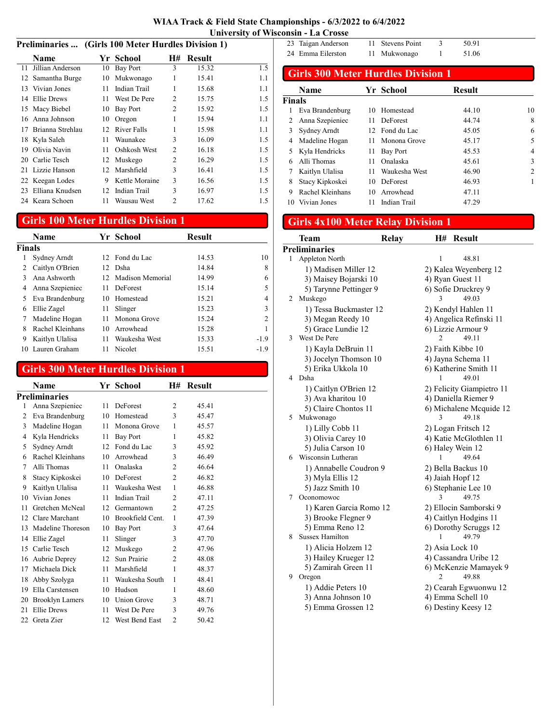| WIAA Track & Field State Championships - 6/3/2022 to 6/4/2022 |  |
|---------------------------------------------------------------|--|
| University of Wisconsin - La Crosse                           |  |

|    | Preliminaries  (Girls 100 Meter Hurdles Division 1) |    |                 |                |        |     |
|----|-----------------------------------------------------|----|-----------------|----------------|--------|-----|
|    | Name                                                |    | Yr School       | H#             | Result |     |
| 11 | Jillian Anderson                                    | 10 | <b>Bay Port</b> | 3              | 15.32  | 1.5 |
|    | 12 Samantha Burge                                   | 10 | Mukwonago       | 1              | 15.41  | 1.1 |
|    | 13 Vivian Jones                                     | 11 | Indian Trail    | 1              | 15.68  | 1.1 |
| 14 | Ellie Drews                                         | 11 | West De Pere    | 2              | 15.75  | 1.5 |
|    | 15 Macy Biebel                                      | 10 | <b>Bay Port</b> | 2              | 15.92  | 1.5 |
|    | 16 Anna Johnson                                     | 10 | Oregon          | 1              | 15.94  | 1.1 |
| 17 | Brianna Strehlau                                    | 12 | River Falls     | 1              | 15.98  | 1.1 |
|    | 18 Kyla Saleh                                       | 11 | Waunakee        | 3              | 16.09  | 1.5 |
| 19 | Olivia Navin                                        | 11 | Oshkosh West    | $\overline{c}$ | 16.18  | 1.5 |
|    | 20 Carlie Tesch                                     | 12 | Muskego         | 2              | 16.29  | 1.5 |
| 21 | Lizzie Hanson                                       | 12 | Marshfield      | 3              | 16.41  | 1.5 |
|    | 22 Keegan Lodes                                     | 9  | Kettle Moraine  | 3              | 16.56  | 1.5 |
| 23 | Elliana Knudsen                                     | 12 | Indian Trail    | 3              | 16.97  | 1.5 |
|    | 24 Keara Schoen                                     | 11 | Wausau West     | $\overline{c}$ | 17.62  | 1.5 |
|    |                                                     |    |                 |                |        |     |

### Girls 100 Meter Hurdles Division 1

|               | <b>Name</b>      |     | Yr School           | Result |                |
|---------------|------------------|-----|---------------------|--------|----------------|
| <b>Finals</b> |                  |     |                     |        |                |
|               | Sydney Arndt     |     | 12 Fond du Lac      | 14.53  | 10             |
|               | Caitlyn O'Brien  | 12. | Dsha                | 14.84  | 8              |
|               | Ana Ashworth     |     | 12 Madison Memorial | 14.99  | 6              |
| 4             | Anna Szepieniec  | 11  | <b>DeForest</b>     | 15.14  | 5              |
| 5.            | Eva Brandenburg  | 10  | Homestead           | 15.21  | 4              |
| 6             | Ellie Zagel      | 11  | Slinger             | 15.23  | 3              |
|               | Madeline Hogan   | 11  | Monona Grove        | 15.24  | $\mathfrak{D}$ |
| 8             | Rachel Kleinhans | 10  | Arrowhead           | 15.28  |                |
| 9             | Kaitlyn Ulalisa  | 11  | Waukesha West       | 15.33  | $-1.9$         |
|               | Lauren Graham    | 11  | Nicolet             | 15.51  | $-1.9$         |

# Girls 300 Meter Hurdles Division 1

| Name                   |                     |                  | H#                              | <b>Result</b> |
|------------------------|---------------------|------------------|---------------------------------|---------------|
|                        |                     |                  |                                 |               |
| Anna Szepieniec        | 11                  | DeForest         | 2                               | 45.41         |
| Eva Brandenburg        | 10                  | Homestead        | 3                               | 45.47         |
| Madeline Hogan         | 11                  | Monona Grove     | 1                               | 45.57         |
| Kyla Hendricks         | 11                  | <b>Bay Port</b>  | 1                               | 45.82         |
| Sydney Arndt           | 12                  | Fond du Lac      | 3                               | 45.92         |
| Rachel Kleinhans       | 10                  | Arrowhead        | 3                               | 46.49         |
| Alli Thomas            | 11                  | Onalaska         | 2                               | 46.64         |
| Stacy Kipkoskei        | 10                  | <b>DeForest</b>  | $\overline{2}$                  | 46.82         |
| Kaitlyn Ulalisa        | 11                  | Waukesha West    | 1                               | 46.88         |
| Vivian Jones           | 11                  | Indian Trail     | $\overline{c}$                  | 47.11         |
| Gretchen McNeal        | 12                  | Germantown       | $\mathfrak{D}$                  | 47.25         |
| Clare Marchant         | 10                  | Brookfield Cent. | 1                               | 47.39         |
| Madeline Thoreson      | 10                  | Bay Port         | 3                               | 47.64         |
| Ellie Zagel            | 11                  | Slinger          | 3                               | 47.70         |
| Carlie Tesch           | 12                  | Muskego          | 2                               | 47.96         |
| Aubrie Deprey          | 12                  | Sun Prairie      | $\overline{c}$                  | 48.08         |
| Michaela Dick          | 11                  | Marshfield       | 1                               | 48.37         |
| Abby Szolyga           | 11                  | Waukesha South   | 1                               | 48.41         |
| Ella Carstensen        | 10                  | Hudson           | 1                               | 48.60         |
| <b>Brooklyn Lamers</b> | 10                  |                  | 3                               | 48.71         |
| <b>Ellie Drews</b>     | 11                  | West De Pere     | 3                               | 49.76         |
| Greta Zier             | 12                  | West Bend East   | $\overline{c}$                  | 50.42         |
|                        | Preliminaries<br>22 |                  | Yr School<br><b>Union Grove</b> |               |

23 Taigan Anderson 11 Stevens Point 3 50.91 24 51.06 Emma Eilerston 11 Mukwonago 1

|        | <b>Girls 300 Meter Hurdles Division 1</b> |    |                 |               |                |  |  |
|--------|-------------------------------------------|----|-----------------|---------------|----------------|--|--|
|        | <b>Name</b>                               |    | Yr School       | <b>Result</b> |                |  |  |
| Finals |                                           |    |                 |               |                |  |  |
| 1      | Eva Brandenburg                           | 10 | Homestead       | 44.10         | 10             |  |  |
| 2      | Anna Szepieniec                           | 11 | <b>DeForest</b> | 44.74         | 8              |  |  |
| 3      | Sydney Arndt                              |    | 12 Fond du Lac  | 45.05         | 6              |  |  |
| 4      | Madeline Hogan                            | 11 | Monona Grove    | 45.17         | 5              |  |  |
| 5      | Kyla Hendricks                            | 11 | Bay Port        | 45.53         | 4              |  |  |
| 6      | Alli Thomas                               | 11 | Onalaska        | 45.61         | 3              |  |  |
| 7      | Kaitlyn Ulalisa                           | 11 | Waukesha West   | 46.90         | $\overline{c}$ |  |  |
| 8      | Stacy Kipkoskei                           | 10 | DeForest        | 46.93         |                |  |  |
| 9      | Rachel Kleinhans                          | 10 | Arrowhead       | 47.11         |                |  |  |
| 10     | Vivian Jones                              | 11 | Indian Trail    | 47.29         |                |  |  |

# Girls 4x100 Meter Relay Division 1

|   | Team                    | Relay | H#             | <b>Result</b>             |
|---|-------------------------|-------|----------------|---------------------------|
|   | <b>Preliminaries</b>    |       |                |                           |
| 1 | Appleton North          |       | 1              | 48.81                     |
|   | 1) Madisen Miller 12    |       |                | 2) Kalea Weyenberg 12     |
|   | 3) Maisey Bojarski 10   |       |                | 4) Ryan Guest 11          |
|   | 5) Tarynne Pettinger 9  |       |                | 6) Sofie Druckrey 9       |
| 2 | Muskego                 |       |                | 49.03                     |
|   | 1) Tessa Buckmaster 12  |       |                | 2) Kendyl Hahlen 11       |
|   | 3) Megan Reedy 10       |       |                | 4) Angelica Refinski 11   |
|   | 5) Grace Lundie 12      |       |                | 6) Lizzie Armour 9        |
| 3 | West De Pere            |       | $\mathfrak{D}$ | 49.11                     |
|   | 1) Kayla DeBruin 11     |       |                | 2) Faith Kibbe 10         |
|   | 3) Jocelyn Thomson 10   |       |                | 4) Jayna Schema 11        |
|   | 5) Erika Ukkola 10      |       |                | 6) Katherine Smith 11     |
| 4 | Dsha                    |       | 1              | 49.01                     |
|   | 1) Caitlyn O'Brien 12   |       |                | 2) Felicity Giampietro 11 |
|   | 3) Ava kharitou 10      |       |                | 4) Daniella Riemer 9      |
|   | 5) Claire Chontos 11    |       |                | 6) Michalene Mcquide 12   |
| 5 | Mukwonago               |       | 3              | 49.18                     |
|   | 1) Lilly Cobb 11        |       |                | 2) Logan Fritsch 12       |
|   | 3) Olivia Carey 10      |       |                | 4) Katie McGlothlen 11    |
|   | 5) Julia Carson 10      |       |                | 6) Haley Wein 12          |
| 6 | Wisconsin Lutheran      |       | 1              | 49.64                     |
|   | 1) Annabelle Coudron 9  |       |                | 2) Bella Backus 10        |
|   | 3) Myla Ellis 12        |       |                | 4) Jaiah Hopf 12          |
|   | 5) Jazz Smith 10        |       |                | 6) Stephanie Lee 10       |
| 7 | Oconomowoc              |       | 3              | 49.75                     |
|   | 1) Karen Garcia Romo 12 |       |                | 2) Ellocin Samborski 9    |
|   | 3) Brooke Flegner 9     |       |                | 4) Caitlyn Hodgins 11     |
|   | 5) Emma Reno 12         |       |                | 6) Dorothy Scruggs 12     |
| 8 | <b>Sussex Hamilton</b>  |       | 1              | 49.79                     |
|   | 1) Alicia Holzem 12     |       |                | 2) Asia Lock 10           |
|   | 3) Hailey Krueger 12    |       |                | 4) Cassandra Uribe 12     |
|   | 5) Zamirah Green 11     |       |                | 6) McKenzie Mamayek 9     |
| 9 | Oregon                  |       | 2              | 49.88                     |
|   | 1) Addie Peters 10      |       |                | 2) Cearah Egwuonwu 12     |
|   | 3) Anna Johnson 10      |       |                | 4) Emma Schell 10         |
|   | 5) Emma Grossen 12      |       |                | 6) Destiny Keesy 12       |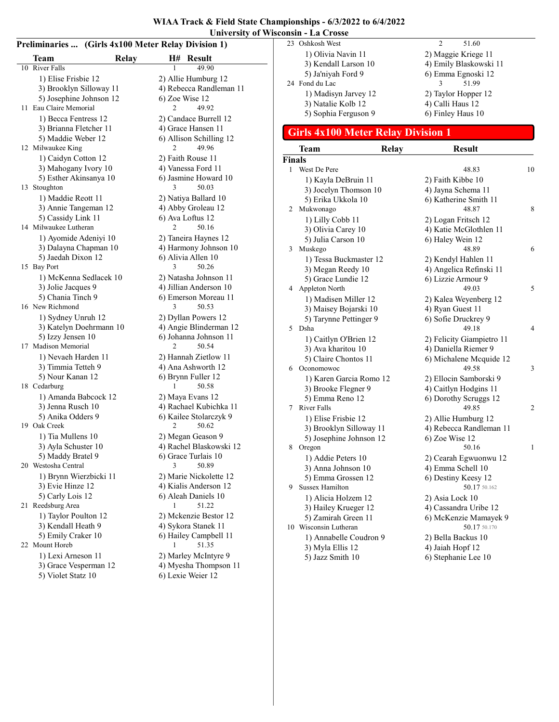| WIAA Track & Field State Championships - 6/3/2022 to 6/4/2022 |  |
|---------------------------------------------------------------|--|
| University of Wisconsin - La Crosse                           |  |

| Preliminaries  (Girls 4x100 Meter Relay Division 1) |                         | 23 Oshkosh West                              | 2<br>51.60                            |
|-----------------------------------------------------|-------------------------|----------------------------------------------|---------------------------------------|
| <b>Team</b><br>Relay                                | H# Result               | 1) Olivia Navin 11                           | 2) Maggie Kriege 11                   |
| 10 River Falls                                      | 49.90                   | 3) Kendall Larson 10                         | 4) Emily Blaskowski 11                |
| 1) Elise Frisbie 12                                 | 2) Allie Humburg 12     | 5) Ja'niyah Ford 9                           | 6) Emma Egnoski 12                    |
| 3) Brooklyn Silloway 11                             | 4) Rebecca Randleman 11 | 24 Fond du Lac                               | 51.99<br>3                            |
| 5) Josephine Johnson 12                             | 6) Zoe Wise 12          | 1) Madisyn Jarvey 12                         | 2) Taylor Hopper 12                   |
| 11 Eau Claire Memorial                              | 49.92<br>2              | 3) Natalie Kolb 12                           | 4) Calli Haus 12                      |
| 1) Becca Fentress 12                                | 2) Candace Burrell 12   | 5) Sophia Ferguson 9                         | 6) Finley Haus 10                     |
| 3) Brianna Fletcher 11                              | 4) Grace Hansen 11      |                                              |                                       |
| 5) Maddie Weber 12                                  | 6) Allison Schilling 12 | <b>Girls 4x100 Meter Relay Division 1</b>    |                                       |
| 12 Milwaukee King                                   | 49.96<br>2              |                                              |                                       |
| 1) Caidyn Cotton 12                                 | 2) Faith Rouse 11       | <b>Team</b>                                  | <b>Relay</b><br><b>Result</b>         |
| 3) Mahogany Ivory 10                                | 4) Vanessa Ford 11      | <b>Finals</b>                                |                                       |
|                                                     | 6) Jasmine Howard 10    | 1 West De Pere                               | 10<br>48.83                           |
| 5) Esther Akinsanya 10                              | 50.03<br>3              | 1) Kayla DeBruin 11                          | 2) Faith Kibbe 10                     |
| 13 Stoughton                                        |                         | 3) Jocelyn Thomson 10                        | 4) Jayna Schema 11                    |
| 1) Maddie Reott 11                                  | 2) Natiya Ballard 10    | 5) Erika Ukkola 10                           | 6) Katherine Smith 11                 |
| 3) Annie Tangeman 12                                | 4) Abby Groleau 12      | 2 Mukwonago                                  | 8<br>48.87                            |
| 5) Cassidy Link 11                                  | 6) Ava Loftus 12        | 1) Lilly Cobb 11                             | 2) Logan Fritsch 12                   |
| 14 Milwaukee Lutheran                               | 50.16<br>2              | 3) Olivia Carey 10                           | 4) Katie McGlothlen 11                |
| 1) Ayomide Adeniyi 10                               | 2) Taneira Haynes 12    | 5) Julia Carson 10                           | 6) Haley Wein 12                      |
| 3) Dalayna Chapman 10                               | 4) Harmony Johnson 10   | 3 Muskego                                    | 48.89<br>6                            |
| 5) Jaedah Dixon 12                                  | 6) Alivia Allen 10      | 1) Tessa Buckmaster 12                       | 2) Kendyl Hahlen 11                   |
| 15 Bay Port                                         | 3<br>50.26              | 3) Megan Reedy 10                            | 4) Angelica Refinski 11               |
| 1) McKenna Sedlacek 10                              | 2) Natasha Johnson 11   | 5) Grace Lundie 12                           | 6) Lizzie Armour 9                    |
| 3) Jolie Jacques 9                                  | 4) Jillian Anderson 10  | 4 Appleton North                             | 49.03<br>5                            |
| 5) Chania Tinch 9                                   | 6) Emerson Moreau 11    | 1) Madisen Miller 12                         | 2) Kalea Weyenberg 12                 |
| 16 New Richmond                                     | 3<br>50.53              | 3) Maisey Bojarski 10                        | 4) Ryan Guest 11                      |
| 1) Sydney Unruh 12                                  | 2) Dyllan Powers 12     | 5) Tarynne Pettinger 9                       | 6) Sofie Druckrey 9                   |
| 3) Katelyn Doehrmann 10                             | 4) Angie Blinderman 12  | 5 Dsha                                       | 49.18<br>4                            |
| 5) Izzy Jensen 10                                   | 6) Johanna Johnson 11   | 1) Caitlyn O'Brien 12                        | 2) Felicity Giampietro 11             |
| 17 Madison Memorial                                 | 50.54<br>$\overline{2}$ | 3) Ava kharitou 10                           | 4) Daniella Riemer 9                  |
| 1) Nevaeh Harden 11                                 | 2) Hannah Zietlow 11    | 5) Claire Chontos 11                         | 6) Michalene Mcquide 12               |
| 3) Timmia Tetteh 9                                  | 4) Ana Ashworth 12      | 6 Oconomowoc                                 | 49.58<br>3                            |
| 5) Nour Kanan 12                                    | 6) Brynn Fuller 12      | 1) Karen Garcia Romo 12                      | 2) Ellocin Samborski 9                |
| 18 Cedarburg                                        | 50.58<br>1              | 3) Brooke Flegner 9                          | 4) Caitlyn Hodgins 11                 |
| 1) Amanda Babcock 12                                | 2) Maya Evans 12        | 5) Emma Reno 12                              | 6) Dorothy Scruggs 12                 |
| 3) Jenna Rusch 10                                   | 4) Rachael Kubichka 11  | 7 River Falls                                | $\overline{2}$<br>49.85               |
| 5) Anika Odders 9                                   | 6) Kailee Stolarczyk 9  | 1) Elise Frisbie 12                          | 2) Allie Humburg 12                   |
| 19 Oak Creek                                        | 50.62<br>2              | 3) Brooklyn Silloway 11                      | 4) Rebecca Randleman 11               |
| 1) Tia Mullens 10                                   | 2) Megan Geason 9       | 5) Josephine Johnson 12                      | 6) Zoe Wise 12                        |
| 3) Ayla Schuster 10                                 | 4) Rachel Blaskowski 12 | 8 Oregon                                     | 50.16<br>$\perp$                      |
| 5) Maddy Bratel 9                                   | 6) Grace Turlais 10     | 1) Addie Peters 10                           | 2) Cearah Egwuonwu 12                 |
| 20 Westosha Central                                 | 50.89<br>3              | 3) Anna Johnson 10                           | 4) Emma Schell 10                     |
| 1) Brynn Wierzbicki 11                              | 2) Marie Nickolette 12  | 5) Emma Grossen 12                           | 6) Destiny Keesy 12                   |
| 3) Evie Hinze 12                                    | 4) Kialis Anderson 12   | 9 Sussex Hamilton                            | 50.17 50.162                          |
| 5) Carly Lois 12                                    | 6) Aleah Daniels 10     |                                              |                                       |
| 21 Reedsburg Area                                   | 51.22<br>1              | 1) Alicia Holzem 12                          | 2) Asia Lock 10                       |
| 1) Taylor Poulton 12                                | 2) Mckenzie Bestor 12   | 3) Hailey Krueger 12                         | 4) Cassandra Uribe 12                 |
| 3) Kendall Heath 9                                  | 4) Sykora Stanek 11     | 5) Zamirah Green 11<br>10 Wisconsin Lutheran | 6) McKenzie Mamayek 9<br>50.17 50.170 |
| 5) Emily Craker 10                                  | 6) Hailey Campbell 11   |                                              |                                       |
| 22 Mount Horeb                                      | 51.35<br>$\mathbf{1}$   | 1) Annabelle Coudron 9                       | 2) Bella Backus 10                    |
|                                                     |                         | 3) Myla Ellis 12                             | 4) Jaiah Hopf 12                      |
| 1) Lexi Arneson 11                                  | 2) Marley McIntyre 9    | 5) Jazz Smith 10                             | 6) Stephanie Lee 10                   |
| 3) Grace Vesperman 12                               | 4) Myesha Thompson 11   |                                              |                                       |

5) Violet Statz 10 6) Lexie Weier 12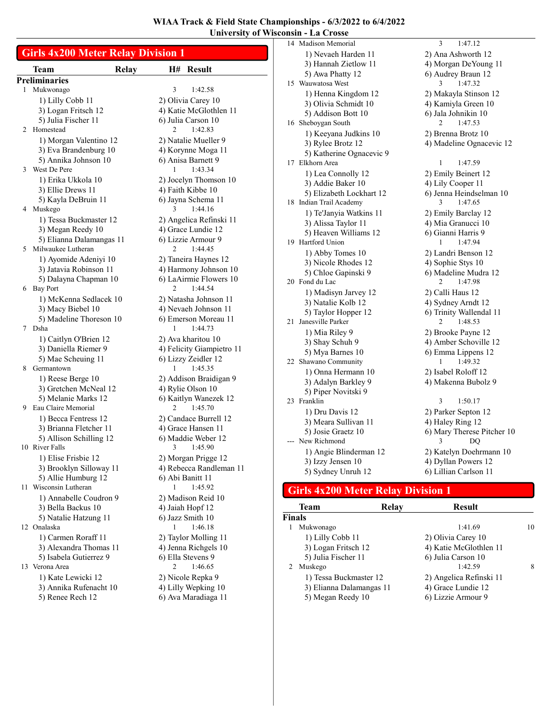#### Girls 4x200 Meter Relay Division 1

|    | Team                                           | Relay | H# 1 | <b>Result</b>                                  |
|----|------------------------------------------------|-------|------|------------------------------------------------|
|    | <b>Preliminaries</b>                           |       |      |                                                |
| 1  | Mukwonago                                      |       | 3    | 1:42.58                                        |
|    | 1) Lilly Cobb 11                               |       |      | 2) Olivia Carey 10                             |
|    | 3) Logan Fritsch 12                            |       |      | 4) Katie McGlothlen 11                         |
|    | 5) Julia Fischer 11                            |       |      | 6) Julia Carson 10                             |
| 2  | Homestead                                      |       | 2    | 1:42.83                                        |
|    | 1) Morgan Valentino 12                         |       |      | 2) Natalie Mueller 9                           |
|    | 3) Eva Brandenburg 10                          |       |      | 4) Korynne Moga 11                             |
|    | 5) Annika Johnson 10                           |       |      | 6) Anisa Barnett 9                             |
| 3  | West De Pere                                   |       | 1    | 1:43.34                                        |
|    | 1) Erika Ukkola 10                             |       |      | 2) Jocelyn Thomson 10                          |
|    | 3) Ellie Drews 11                              |       |      | 4) Faith Kibbe 10                              |
|    | 5) Kayla DeBruin 11                            |       |      | 6) Jayna Schema 11                             |
| 4  | Muskego                                        |       | 3    | 1:44.16                                        |
|    | 1) Tessa Buckmaster 12                         |       |      | 2) Angelica Refinski 11                        |
|    | 3) Megan Reedy 10                              |       |      | 4) Grace Lundie 12<br>6) Lizzie Armour 9       |
| 5  | 5) Elianna Dalamangas 11<br>Milwaukee Lutheran |       | 2    | 1:44.45                                        |
|    | 1) Ayomide Adeniyi 10                          |       |      | 2) Taneira Haynes 12                           |
|    | 3) Jatavia Robinson 11                         |       |      | 4) Harmony Johnson 10                          |
|    | 5) Dalayna Chapman 10                          |       |      | 6) LaAirmie Flowers 10                         |
| 6  | <b>Bay Port</b>                                |       | 2    | 1:44.54                                        |
|    | 1) McKenna Sedlacek 10                         |       |      | 2) Natasha Johnson 11                          |
|    | 3) Macy Biebel 10                              |       |      | 4) Nevaeh Johnson 11                           |
|    | 5) Madeline Thoreson 10                        |       |      | 6) Emerson Moreau 11                           |
| 7  | Dsha                                           |       | 1    | 1:44.73                                        |
|    | 1) Caitlyn O'Brien 12                          |       |      | 2) Ava kharitou 10                             |
|    | 3) Daniella Riemer 9                           |       |      | 4) Felicity Giampietro 11                      |
|    | 5) Mae Scheuing 11                             |       |      | 6) Lizzy Zeidler 12                            |
| 8  | Germantown                                     |       | 1    | 1:45.35                                        |
|    | 1) Reese Berge 10                              |       |      | 2) Addison Braidigan 9                         |
|    | 3) Gretchen McNeal 12                          |       |      | 4) Rylie Olson 10                              |
|    | 5) Melanie Marks 12                            |       |      | 6) Kaitlyn Wanezek 12                          |
| 9  | Eau Claire Memorial                            |       | 2    | 1:45.70                                        |
|    | 1) Becca Fentress 12                           |       |      | 2) Candace Burrell 12                          |
|    | 3) Brianna Fletcher 11                         |       |      | 4) Grace Hansen 11                             |
|    | 5) Allison Schilling 12<br>10 River Falls      |       |      | 6) Maddie Weber 12<br>1:45.90                  |
|    | 1) Elise Frisbie 12                            |       |      |                                                |
|    | 3) Brooklyn Silloway 11                        |       |      | 2) Morgan Prigge 12<br>4) Rebecca Randleman 11 |
|    | 5) Allie Humburg 12                            |       |      | 6) Abi Banitt 11                               |
| 11 | Wisconsin Lutheran                             |       | 1    | 1:45.92                                        |
|    | 1) Annabelle Coudron 9                         |       |      | 2) Madison Reid 10                             |
|    | 3) Bella Backus 10                             |       |      | 4) Jaiah Hopf 12                               |
|    | 5) Natalie Hatzung 11                          |       |      | 6) Jazz Smith 10                               |
|    | 12 Onalaska                                    |       | 1    | 1:46.18                                        |
|    | 1) Carmen Roraff 11                            |       |      | 2) Taylor Molling 11                           |
|    | 3) Alexandra Thomas 11                         |       |      | 4) Jenna Richgels 10                           |
|    | 5) Isabela Gutierrez 9                         |       |      | 6) Ella Stevens 9                              |
|    | 13 Verona Area                                 |       | 2    | 1:46.65                                        |
|    | 1) Kate Lewicki 12                             |       |      | 2) Nicole Repka 9                              |
|    | 3) Annika Rufenacht 10                         |       |      | 4) Lilly Wepking 10                            |
|    | 5) Renee Rech 12                               |       |      | 6) Ava Maradiaga 11                            |

14 Madison Memorial 3 1:47.12 1) Nevaeh Harden 11 2) Ana Ashworth 12 3) Hannah Zietlow 11 4) Morgan DeYoung 11 5) Awa Phatty 12 6) Audrey Braun 12<br>  $5 \times 1.47.32$ <br>  $1.47.32$ 15 Wauwatosa West 3 1) Henna Kingdom 12 2) Makayla Stinson 12 3) Olivia Schmidt 10 4) Kamiyla Green 10 5) Addison Bott 10 6) Jala Johnikin 10 16 Sheboygan South 2 1:47.53 1) Keeyana Judkins 10 2) Brenna Brotz 10 3) Rylee Brotz 12 4) Madeline Ognacevic 12 5) Katherine Ognacevic 9 17 Elkhorn Area 1 1:47.59 1) Lea Connolly 12 2) Emily Beinert 12 3) Addie Baker 10 4) Lily Cooper 11 5) Elizabeth Lockhart 12 6) Jenna Heindselman 10 18 1:47.65 Indian Trail Academy 3 1) Te'Janyia Watkins 11 2) Emily Barclay 12 3) Alissa Taylor 11 4) Mia Granucci 10 5) Heaven Williams 12 6) Gianni Harris 9 19 Hartford Union 1 1:47.94 1) Abby Tomes 10 2) Landri Benson 12<br>3) Nicole Rhodes 12 4) Sophie Stys 10 4) Sophie Stys 10 5) Chloe Gapinski 9 6) Madeline Mudra 12<br>ond du Lac 2 1:47.98 20 Fond du Lac 2 1) Madisyn Jarvey 12 2) Calli Haus 12 3) Natalie Kolb 12 4) Sydney Arndt 12 5) Taylor Hopper 12 6) Trinity Wallendal 11 21 1:48.53 Janesville Parker 2 1) Mia Riley 9 2) Brooke Payne 12 3) Shay Schuh 9 4) Amber Schoville 12 5) Mya Barnes 10 6) Emma Lippens 12<br>hawano Community 1 1:49.32 22 Shawano Community 1) Onna Hermann 10 2) Isabel Roloff 12 3) Adalyn Barkley 9 4) Makenna Bubolz 9 5) Piper Novitski 9 23 Franklin 3 1:50.17 1) Dru Davis 12 2) Parker Septon 12 3) Meara Sullivan 11 4) Haley Ring 12<br>5) Josie Graetz 10 6) Mary Therese 1 6) Mary Therese Pitcher 10 -- New Richmond 3 DQ 1) Angie Blinderman 12 2) Katelyn Doehrmann 10 3) Izzy Jensen 10 4) Dyllan Powers 12 5) Sydney Unruh 12 6) Lillian Carlson 11

#### Girls 4x200 Meter Relay Division 1

| Team                | <b>Result</b>                                               |    |
|---------------------|-------------------------------------------------------------|----|
| Finals              |                                                             |    |
| Mukwonago           | 1:41.69                                                     | 10 |
| 1) Lilly Cobb 11    | 2) Olivia Carey 10                                          |    |
| 3) Logan Fritsch 12 | 4) Katie McGlothlen 11                                      |    |
| 5) Julia Fischer 11 | 6) Julia Carson 10                                          |    |
| Muskego             | 1:42.59                                                     | 8  |
|                     | 2) Angelica Refinski 11                                     |    |
|                     | 4) Grace Lundie 12                                          |    |
| 5) Megan Reedy 10   | 6) Lizzie Armour 9                                          |    |
|                     | Relav<br>1) Tessa Buckmaster 12<br>3) Elianna Dalamangas 11 |    |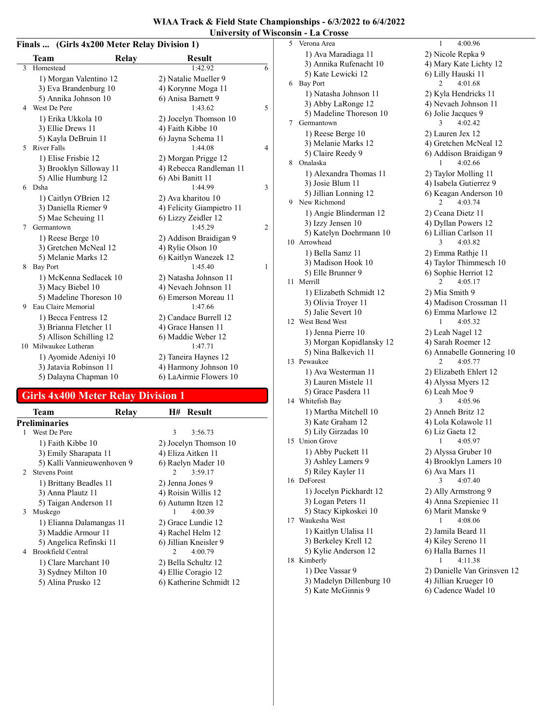| WIAA Track & Field State Championships - 6/3/2022 to 6/4/2022 |  |
|---------------------------------------------------------------|--|
| University of Wisconsin - La Crosse                           |  |

|   | Team                    | Relay | <b>Result</b>             |   |
|---|-------------------------|-------|---------------------------|---|
| 3 | Homestead               |       | 1:42.92                   | 6 |
|   | 1) Morgan Valentino 12  |       | 2) Natalie Mueller 9      |   |
|   | 3) Eva Brandenburg 10   |       | 4) Korynne Moga 11        |   |
|   | 5) Annika Johnson 10    |       | 6) Anisa Barnett 9        |   |
| 4 | West De Pere            |       | 1:43.62                   | 5 |
|   | 1) Erika Ukkola 10      |       | 2) Jocelyn Thomson 10     |   |
|   | 3) Ellie Drews 11       |       | 4) Faith Kibbe 10         |   |
|   | 5) Kayla DeBruin 11     |       | 6) Jayna Schema 11        |   |
| 5 | <b>River Falls</b>      |       | 1:44.08                   | 4 |
|   | 1) Elise Frisbie 12     |       | 2) Morgan Prigge 12       |   |
|   | 3) Brooklyn Silloway 11 |       | 4) Rebecca Randleman 11   |   |
|   | 5) Allie Humburg 12     |       | 6) Abi Banitt 11          |   |
| 6 | Dsha                    |       | 1:44.99                   | 3 |
|   | 1) Caitlyn O'Brien 12   |       | 2) Ava kharitou 10        |   |
|   | 3) Daniella Riemer 9    |       | 4) Felicity Giampietro 11 |   |
|   | 5) Mae Scheuing 11      |       | 6) Lizzy Zeidler 12       |   |
| 7 | Germantown              |       | 1:45.29                   | 2 |
|   | 1) Reese Berge 10       |       | 2) Addison Braidigan 9    |   |
|   | 3) Gretchen McNeal 12   |       | 4) Rylie Olson 10         |   |
|   | 5) Melanie Marks 12     |       | 6) Kaitlyn Wanezek 12     |   |
| 8 | <b>Bay Port</b>         |       | 1:45.40                   | 1 |
|   | 1) McKenna Sedlacek 10  |       | 2) Natasha Johnson 11     |   |
|   | 3) Macy Biebel 10       |       | 4) Nevaeh Johnson 11      |   |
|   | 5) Madeline Thoreson 10 |       | 6) Emerson Moreau 11      |   |
| 9 | Eau Claire Memorial     |       | 1:47.66                   |   |
|   | 1) Becca Fentress 12    |       | 2) Candace Burrell 12     |   |
|   | 3) Brianna Fletcher 11  |       | 4) Grace Hansen 11        |   |
|   | 5) Allison Schilling 12 |       | 6) Maddie Weber 12        |   |
|   | 10 Milwaukee Lutheran   |       | 1:47.71                   |   |
|   | 1) Ayomide Adeniyi 10   |       | 2) Taneira Haynes 12      |   |
|   | 3) Jatavia Robinson 11  |       | 4) Harmony Johnson 10     |   |
|   | 5) Dalayna Chapman 10   |       | 6) LaAirmie Flowers 10    |   |

#### Girls 4x400 Meter Relay Division 1

|               | <b>Team</b>                | Relay |                | <b>H# Result</b>        |
|---------------|----------------------------|-------|----------------|-------------------------|
|               | <b>Preliminaries</b>       |       |                |                         |
|               | West De Pere               |       | 3              | 3:56.73                 |
|               | 1) Faith Kibbe 10          |       |                | 2) Jocelyn Thomson 10   |
|               | 3) Emily Sharapata 11      |       |                | 4) Eliza Aitken 11      |
|               | 5) Kalli Vannieuwenhoven 9 |       |                | 6) Raelyn Mader 10      |
| $\mathcal{D}$ | <b>Stevens Point</b>       |       | $\mathfrak{D}$ | 3:59.17                 |
|               | 1) Brittany Beadles 11     |       |                | 2) Jenna Jones 9        |
|               | 3) Anna Plautz 11          |       |                | 4) Roisin Willis 12     |
|               | 5) Taigan Anderson 11      |       |                | 6) Autumn Itzen 12      |
| 3             | Muskego                    |       | 1              | 4:00.39                 |
|               | 1) Elianna Dalamangas 11   |       |                | 2) Grace Lundie 12      |
|               | 3) Maddie Armour 11        |       |                | 4) Rachel Helm 12       |
|               | 5) Angelica Refinski 11    |       |                | 6) Jillian Kneisler 9   |
| 4             | <b>Brookfield Central</b>  |       | 2              | 4:00.79                 |
|               | 1) Clare Marchant 10       |       |                | 2) Bella Schultz 12     |
|               | 3) Sydney Milton 10        |       |                | 4) Ellie Coragio 12     |
|               | 5) Alina Prusko 12         |       |                | 6) Katherine Schmidt 12 |
|               |                            |       |                |                         |

5 4:00.96 Verona Area 1 1) Ava Maradiaga 11 2) Nicole Repka 9 3) Annika Rufenacht 10 4) Mary Kate Lichty 12 5) Kate Lewicki 12 6) Lilly Hauski 11<br>av Port 2 4:01.68 6 Bay Port 1) Natasha Johnson 11 2) Kyla Hendricks 11 3) Abby LaRonge 12 4) Nevaeh Johnson 11 5) Madeline Thoreson 10 6) Jolie Jacques 9 7 4:02.42 Germantown 3 1) Reese Berge 10 2) Lauren Jex 12 3) Melanie Marks 12 4) Gretchen McNeal 12 5) Claire Reedy 9 6) Addison Braidigan 9 8 4:02.66 Onalaska 1 1) Alexandra Thomas 11 2) Taylor Molling 11 3) Josie Blum 11 4) Isabela Gutierrez 9 5) Jillian Lonning 12 6) Keagan Anderson 10<br>
lew Richmond 2 4:03.74 9 New Richmond 1) Angie Blinderman 12 2) Ceana Dietz 11 3) Izzy Jensen 10 4) Dyllan Powers 12 5) Katelyn Doehrmann 10 6) Lillian Carlson 11 10 Arrowhead 3 4:03.82 1) Bella Samz 11 2) Emma Rathje 11<br>3) Madison Hook 10 4) Taylor Thimmeso 5) Elle Brunner 9 6) Sophie Herriot 12<br>
12 4:05.17 11 Merrill 2 1) Elizabeth Schmidt 12 2) Mia Smith 9 3) Olivia Troyer 11 4) Madison Crossman 11 5) Jalie Severt 10 6) Emma Marlowe 12<br>Vest Bend West 1 4:05.32 12 West Bend West 1 1) Jenna Pierre 10 2) Leah Nagel 12 3) Morgan Kopidlansky 12 4) Sarah Roemer 12 5) Nina Balkevich 11 6) Annabelle Gonnering 10<br>ewaukee 2 4:05.77 13 Pewaukee 1) Ava Westerman 11 2) Elizabeth Ehlert 12 3) Lauren Mistele 11 4) Alyssa Myers 12 5) Grace Pasdera 11 6) Leah Moe 9<br>Vhitefish Bay 3 4.05.96 14 Whitefish Bay 3 1) Martha Mitchell 10 2) Anneh Britz 12 3) Kate Graham 12 4) Lola Kolawole 11<br>5) Lily Girzadas 10 6) Liz Gaeta 12 5) Lily Girzadas 10 6) Liz Gaeta 12<br>
Inion Grove 1 4:05.97 15 Union Grove 1 1) Abby Puckett 11 2) Alyssa Gruber 10 3) Ashley Lamers 9 4) Brooklyn Lamers 10 5) Riley Kayler 11 6) Ava Mars 11 16 DeForest 3 4:07.40 1) Jocelyn Pickhardt 12 2) Ally Armstrong 9 3) Logan Peters 11 4) Anna Szepieniec 11<br>5) Stacy Kipkoskei 10 6) Marit Manske 9 5) Stacy Kipkoskei 10 6) Marit Manske<br>Vaukesha West 1 4:08.06 17 Waukesha West 1 1) Kaitlyn Ulalisa 11 2) Jamila Beard 11<br>3) Berkeley Krell 12 4) Kiley Sereno 11 3) Berkeley Krell 12 5) Kylie Anderson 12 6) Halla Barnes 11 18 4:11.38 Kimberly 1 1) Dee Vassar 9 2) Danielle Van Grinsven 12<br>3) Madelyn Dillenburg 10 4) Jillian Krueger 10 3) Madelyn Dillenburg 10 5) Kate McGinnis 9 6) Cadence Wadel 10

4) Taylor Thimmesch 10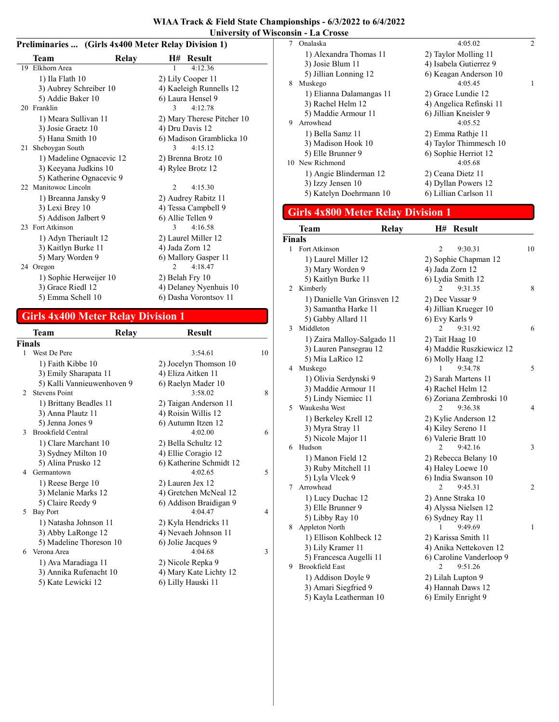| WIAA Track & Field State Championships - 6/3/2022 to 6/4/2022 |  |
|---------------------------------------------------------------|--|
| University of Wisconsin - La Crosse                           |  |

#### Preliminaries ... (Girls 4x400 Meter Relay Division 1)

| Team                     | Relay | H# Result                  |  |
|--------------------------|-------|----------------------------|--|
| 19 Elkhorn Area          |       | 4:12.36<br>1               |  |
| 1) Ila Flath 10          |       | 2) Lily Cooper 11          |  |
| 3) Aubrey Schreiber 10   |       | 4) Kaeleigh Runnells 12    |  |
| 5) Addie Baker 10        |       | 6) Laura Hensel 9          |  |
| 20 Franklin              |       | 4:12.78<br>3               |  |
| 1) Meara Sullivan 11     |       | 2) Mary Therese Pitcher 10 |  |
| 3) Josie Graetz 10       |       | 4) Dru Davis 12            |  |
| 5) Hana Smith 10         |       | 6) Madison Gramblicka 10   |  |
| Sheboygan South<br>21    |       | 4:15.12<br>$\mathbf{3}$    |  |
| 1) Madeline Ognacevic 12 |       | 2) Brenna Brotz 10         |  |
| 3) Keeyana Judkins 10    |       | 4) Rylee Brotz 12          |  |
| 5) Katherine Ognacevic 9 |       |                            |  |
| 22. Manitowoc Lincoln    |       | 4:15.30<br>2               |  |
| 1) Breanna Jansky 9      |       | 2) Audrey Rabitz 11        |  |
| 3) Lexi Brey 10          |       | 4) Tessa Campbell 9        |  |
| 5) Addison Jalbert 9     |       | 6) Allie Tellen 9          |  |
| 23 Fort Atkinson         |       | 4:16.58<br>3               |  |
| 1) Adyn Theriault 12     |       | 2) Laurel Miller 12        |  |
| 3) Kaitlyn Burke 11      |       | 4) Jada Zorn 12            |  |
| 5) Mary Worden 9         |       | 6) Mallory Gasper 11       |  |
| 24 Oregon                |       | 4:18.47<br>$\mathfrak{D}$  |  |
| 1) Sophie Herweijer 10   |       | 2) Belah Fry 10            |  |
| 3) Grace Riedl 12        |       | 4) Delaney Nyenhuis 10     |  |
| 5) Emma Schell 10        |       | 6) Dasha Vorontsov 11      |  |
|                          |       |                            |  |

# Girls 4x400 Meter Relay Division 1

|                | Team                       | Relay | <b>Result</b>           |    |
|----------------|----------------------------|-------|-------------------------|----|
| Finals         |                            |       |                         |    |
| $\mathbf{1}$   | West De Pere               |       | 3:54.61                 | 10 |
|                | 1) Faith Kibbe 10          |       | 2) Jocelyn Thomson 10   |    |
|                | 3) Emily Sharapata 11      |       | 4) Eliza Aitken 11      |    |
|                | 5) Kalli Vannieuwenhoven 9 |       | 6) Raelyn Mader 10      |    |
| $\mathfrak{D}$ | <b>Stevens Point</b>       |       | 3:58.02                 | 8  |
|                | 1) Brittany Beadles 11     |       | 2) Taigan Anderson 11   |    |
|                | 3) Anna Plautz 11          |       | 4) Roisin Willis 12     |    |
|                | 5) Jenna Jones 9           |       | 6) Autumn Itzen 12      |    |
| 3              | <b>Brookfield Central</b>  |       | 4:02.00                 | 6  |
|                | 1) Clare Marchant 10       |       | 2) Bella Schultz 12     |    |
|                | 3) Sydney Milton 10        |       | 4) Ellie Coragio 12     |    |
|                | 5) Alina Prusko 12         |       | 6) Katherine Schmidt 12 |    |
| 4              | Germantown                 |       | 4:02.65                 | 5  |
|                | 1) Reese Berge 10          |       | 2) Lauren Jex 12        |    |
|                | 3) Melanie Marks 12        |       | 4) Gretchen McNeal 12   |    |
|                | 5) Claire Reedy 9          |       | 6) Addison Braidigan 9  |    |
| 5              | <b>Bay Port</b>            |       | 4:04.47                 | 4  |
|                | 1) Natasha Johnson 11      |       | 2) Kyla Hendricks 11    |    |
|                | 3) Abby LaRonge 12         |       | 4) Nevaeh Johnson 11    |    |
|                | 5) Madeline Thoreson 10    |       | 6) Jolie Jacques 9      |    |
| 6              | Verona Area                |       | 4:04.68                 | 3  |
|                | 1) Ava Maradiaga 11        |       | 2) Nicole Repka 9       |    |
|                | 3) Annika Rufenacht 10     |       | 4) Mary Kate Lichty 12  |    |
|                | 5) Kate Lewicki 12         |       | 6) Lilly Hauski 11      |    |

|   | Onalaska                 | 4:05.02                 | $\overline{2}$ |
|---|--------------------------|-------------------------|----------------|
|   | 1) Alexandra Thomas 11   | 2) Taylor Molling 11    |                |
|   | 3) Josie Blum 11         | 4) Isabela Gutierrez 9  |                |
|   | 5) Jillian Lonning 12    | 6) Keagan Anderson 10   |                |
| 8 | Muskego                  | 4:05.45                 | 1              |
|   | 1) Elianna Dalamangas 11 | 2) Grace Lundie 12      |                |
|   | 3) Rachel Helm 12        | 4) Angelica Refinski 11 |                |
|   | 5) Maddie Armour 11      | 6) Jillian Kneisler 9   |                |
| 9 | Arrowhead                | 4:05.52                 |                |
|   | 1) Bella Samz 11         | 2) Emma Rathje 11       |                |
|   | 3) Madison Hook 10       | 4) Taylor Thimmesch 10  |                |
|   | 5) Elle Brunner 9        | 6) Sophie Herriot 12    |                |
|   | 10 New Richmond          | 4:05.68                 |                |
|   | 1) Angie Blinderman 12   | 2) Ceana Dietz 11       |                |
|   | 3) Izzy Jensen 10        | 4) Dyllan Powers 12     |                |
|   | 5) Katelyn Doehrmann 10  | 6) Lillian Carlson 11   |                |

# Girls 4x800 Meter Relay Division 1

|               | Team                        | Relay | <b>H#</b>      | <b>Result</b>            |              |
|---------------|-----------------------------|-------|----------------|--------------------------|--------------|
| <b>Finals</b> |                             |       |                |                          |              |
| 1             | Fort Atkinson               |       | 2              | 9:30.31                  | 10           |
|               | 1) Laurel Miller 12         |       |                | 2) Sophie Chapman 12     |              |
|               | 3) Mary Worden 9            |       |                | 4) Jada Zorn 12          |              |
|               | 5) Kaitlyn Burke 11         |       |                | 6) Lydia Smith 12        |              |
| 2             | Kimberly                    |       |                | 9:31.35                  | 8            |
|               | 1) Danielle Van Grinsven 12 |       |                | 2) Dee Vassar 9          |              |
|               | 3) Samantha Harke 11        |       |                | 4) Jillian Krueger 10    |              |
|               | 5) Gabby Allard 11          |       |                | 6) Evy Karls 9           |              |
| 3             | Middleton                   |       | 2              | 9:31.92                  | 6            |
|               | 1) Zaira Malloy-Salgado 11  |       |                | 2) Tait Haag 10          |              |
|               | 3) Lauren Pansegrau 12      |       |                | 4) Maddie Ruszkiewicz 12 |              |
|               | 5) Mia LaRico 12            |       |                | 6) Molly Haag 12         |              |
| 4             | Muskego                     |       | 1              | 9:34.78                  | 5            |
|               | 1) Olivia Serdynski 9       |       |                | 2) Sarah Martens 11      |              |
|               | 3) Maddie Armour 11         |       |                | 4) Rachel Helm 12        |              |
|               | 5) Lindy Niemiec 11         |       |                | 6) Zoriana Zembroski 10  |              |
| 5             | Waukesha West               |       | 2              | 9:36.38                  | 4            |
|               | 1) Berkeley Krell 12        |       |                | 2) Kylie Anderson 12     |              |
|               | 3) Myra Stray 11            |       |                | 4) Kiley Sereno 11       |              |
|               | 5) Nicole Major 11          |       |                | 6) Valerie Bratt 10      |              |
| 6             | Hudson                      |       | $\mathfrak{D}$ | 9:42.16                  | 3            |
|               | 1) Manon Field 12           |       |                | 2) Rebecca Belany 10     |              |
|               | 3) Ruby Mitchell 11         |       |                | 4) Haley Loewe 10        |              |
|               | 5) Lyla Vlcek 9             |       |                | 6) India Swanson 10      |              |
| 7             | Arrowhead                   |       | $\overline{2}$ | 9:45.31                  | 2            |
|               | 1) Lucy Duchac 12           |       |                | 2) Anne Straka 10        |              |
|               | 3) Elle Brunner 9           |       |                | 4) Alyssa Nielsen 12     |              |
|               | 5) Libby Ray 10             |       |                | 6) Sydney Ray 11         |              |
| 8             | Appleton North              |       | 1              | 9:49.69                  | $\mathbf{1}$ |
|               | 1) Ellison Kohlbeck 12      |       |                | 2) Karissa Smith 11      |              |
|               | 3) Lily Kramer 11           |       |                | 4) Anika Nettekoven 12   |              |
|               | 5) Francesca Augelli 11     |       |                | 6) Caroline Vanderloop 9 |              |
| 9             | <b>Brookfield East</b>      |       | 2              | 9:51.26                  |              |
|               | 1) Addison Doyle 9          |       |                | 2) Lilah Lupton 9        |              |
|               | 3) Amari Siegfried 9        |       |                | 4) Hannah Daws 12        |              |
|               | 5) Kayla Leatherman 10      |       |                | 6) Emily Enright 9       |              |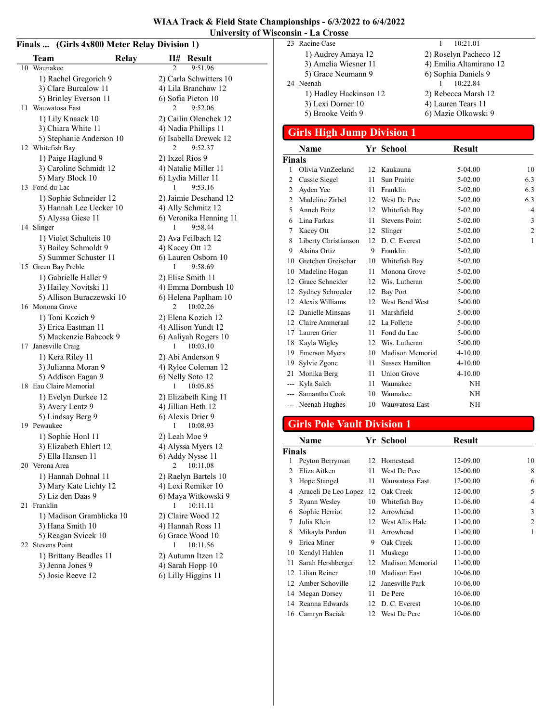| WIAA Track & Field State Championships - 6/3/2022 to 6/4/2022 |  |
|---------------------------------------------------------------|--|
| University of Wisconsin - La Crosse                           |  |

|  | Finals  (Girls 4x800 Meter Relay Division 1) |
|--|----------------------------------------------|
|--|----------------------------------------------|

|    | Team<br>10 Waunakee                           | <b>Relay</b> | Н#<br>2         | Result<br>9:51.96                           |
|----|-----------------------------------------------|--------------|-----------------|---------------------------------------------|
|    |                                               |              |                 |                                             |
|    | 1) Rachel Gregorich 9                         |              |                 | 2) Carla Schwitters 10                      |
|    | 3) Clare Burcalow 11<br>5) Brinley Everson 11 |              |                 | 4) Lila Branchaw 12<br>6) Sofia Pieton 10   |
|    | 11 Wauwatosa East                             |              | 2               | 9:52.06                                     |
|    | 1) Lily Knaack 10                             |              |                 | 2) Cailin Olenchek 12                       |
|    | 3) Chiara White 11                            |              |                 | 4) Nadia Phillips 11                        |
|    | 5) Stephanie Anderson 10                      |              |                 | 6) Isabella Drewek 12                       |
|    | 12 Whitefish Bay                              |              | 2               | 9:52.37                                     |
|    | 1) Paige Haglund 9                            |              | 2) Ixzel Rios 9 |                                             |
|    | 3) Caroline Schmidt 12                        |              |                 | 4) Natalie Miller 11                        |
|    | 5) Mary Block 10                              |              |                 | 6) Lydia Miller 11                          |
|    | 13 Fond du Lac                                |              | 1               | 9:53.16                                     |
|    | 1) Sophie Schneider 12                        |              |                 | 2) Jaimie Deschand 12                       |
|    | 3) Hannah Lee Uecker 10                       |              |                 | 4) Ally Schmitz 12                          |
|    | 5) Alyssa Giese 11                            |              |                 | 6) Veronika Henning 11                      |
|    | 14 Slinger                                    |              | 1               | 9:58.44                                     |
|    | 1) Violet Schulteis 10                        |              |                 | 2) Ava Feilbach 12                          |
|    | 3) Bailey Schmoldt 9                          |              |                 | 4) Kacey Ott 12                             |
|    | 5) Summer Schuster 11                         |              |                 | 6) Lauren Osborn 10                         |
|    | 15 Green Bay Preble                           |              | 1               | 9:58.69                                     |
|    | 1) Gabrielle Haller 9                         |              |                 | 2) Elise Smith 11                           |
|    | 3) Hailey Novitski 11                         |              |                 | 4) Emma Dornbush 10                         |
|    | 5) Allison Buraczewski 10                     |              |                 | 6) Helena Paplham 10                        |
|    | 16 Monona Grove                               |              | 2               | 10:02.26                                    |
|    | 1) Toni Kozich 9                              |              |                 | 2) Elena Kozich 12                          |
|    | 3) Erica Eastman 11<br>5) Mackenzie Babcock 9 |              |                 | 4) Allison Yundt 12<br>6) Aaliyah Rogers 10 |
| 17 | Janesville Craig                              |              | $\mathbf{1}$    | 10:03.10                                    |
|    | 1) Kera Riley 11                              |              |                 | 2) Abi Anderson 9                           |
|    | 3) Julianna Moran 9                           |              |                 | 4) Rylee Coleman 12                         |
|    | 5) Addison Fagan 9                            |              |                 | 6) Nelly Soto 12                            |
|    | 18 Eau Claire Memorial                        |              | 1               | 10:05.85                                    |
|    | 1) Evelyn Durkee 12                           |              |                 | 2) Elizabeth King 11                        |
|    | 3) Avery Lentz 9                              |              |                 | 4) Jillian Heth 12                          |
|    | 5) Lindsay Berg 9                             |              |                 | 6) Alexis Drier 9                           |
|    | 19 Pewaukee                                   |              | 1               | 10:08.93                                    |
|    | 1) Sophie Honl 11                             |              | 2) Leah Moe 9   |                                             |
|    | 3) Elizabeth Ehlert 12                        |              |                 | 4) Alyssa Myers 12                          |
|    | 5) Ella Hansen 11                             |              |                 | 6) Addy Nysse 11                            |
|    | 20 Verona Area                                |              | 2               | 10:11.08                                    |
|    | 1) Hannah Dohnal 11                           |              |                 | 2) Raelyn Bartels 10                        |
|    | 3) Mary Kate Lichty 12                        |              |                 | 4) Lexi Remiker 10                          |
| 21 | 5) Liz den Daas 9<br>Franklin                 |              | 1               | 6) Maya Witkowski 9<br>10:11.11             |
|    |                                               |              |                 |                                             |
|    | 1) Madison Gramblicka 10<br>3) Hana Smith 10  |              |                 | 2) Claire Wood 12<br>4) Hannah Ross 11      |
|    | 5) Reagan Svicek 10                           |              |                 | 6) Grace Wood 10                            |
|    | 22 Stevens Point                              |              | 1               | 10:11.56                                    |
|    | 1) Brittany Beadles 11                        |              |                 | 2) Autumn Itzen 12                          |
|    | 3) Jenna Jones 9                              |              |                 | 4) Sarah Hopp 10                            |
|    | 5) Josie Reeve 12                             |              |                 | 6) Lilly Higgins 11                         |
|    |                                               |              |                 |                                             |

| 23 Racine Case         | 10:21.01                |
|------------------------|-------------------------|
| 1) Audrey Amaya 12     | 2) Roselyn Pacheco 12   |
| 3) Amelia Wiesner 11   | 4) Emilia Altamirano 12 |
| 5) Grace Neumann 9     | 6) Sophia Daniels 9     |
| 24 Neenah              | 10:22.84                |
| 1) Hadley Hackinson 12 | 2) Rebecca Marsh 12     |
| 3) Lexi Dorner 10      | 4) Lauren Tears 11      |
| 5) Brooke Veith 9      | 6) Mazie Olkowski 9     |
|                        |                         |

# Girls High Jump Division 1

|                | Name                 |                 | Yr School              | <b>Result</b> |     |
|----------------|----------------------|-----------------|------------------------|---------------|-----|
| <b>Finals</b>  |                      |                 |                        |               |     |
| 1              | Olivia VanZeeland    | 12 <sub>1</sub> | Kaukauna               | 5-04.00       | 10  |
| 2              | Cassie Siegel        | 11              | Sun Prairie            | $5-02.00$     | 6.3 |
| 2              | Ayden Yee            | 11              | Franklin               | 5-02.00       | 6.3 |
| $\mathfrak{D}$ | Madeline Zirbel      | 12 <sub>1</sub> | West De Pere           | 5-02.00       | 6.3 |
| 5              | Anneh Britz          | 12              | Whitefish Bay          | 5-02.00       | 4   |
| 6              | Lina Farkas          | 11              | <b>Stevens Point</b>   | 5-02.00       | 3   |
| 7              | Kacey Ott            | 12              | Slinger                | 5-02.00       | 2   |
| 8              | Liberty Christianson | 12              | D. C. Everest          | 5-02.00       | 1   |
| 9              | Alaina Ortiz         | 9               | Franklin               | $5 - 02.00$   |     |
| 10             | Gretchen Greischar   | 10              | Whitefish Bay          | $5-02.00$     |     |
| 10             | Madeline Hogan       | 11              | Monona Grove           | $5-02.00$     |     |
| 12             | Grace Schneider      | 12              | Wis. Lutheran          | $5 - 00.00$   |     |
| 12             | Sydney Schroeder     | 12              | Bay Port               | $5 - 00.00$   |     |
|                | 12 Alexis Williams   | 12.             | West Bend West         | 5-00.00       |     |
| 12.            | Danielle Minsaas     | 11              | Marshfield             | $5 - 00.00$   |     |
|                | 12 Claire Ammeraal   | 12              | La Follette            | 5-00.00       |     |
| 17             | Lauren Grier         | 11              | Fond du Lac            | 5-00.00       |     |
| 18             | Kayla Wigley         | 12              | Wis. Lutheran          | $5 - 00.00$   |     |
| 19             | <b>Emerson Myers</b> | 10              | Madison Memorial       | $4 - 10.00$   |     |
| 19             | Sylvie Zgonc         | 11              | <b>Sussex Hamilton</b> | $4 - 10.00$   |     |
| 21             | Monika Berg          | 11              | <b>Union Grove</b>     | $4 - 10.00$   |     |
| ---            | Kyla Saleh           | 11              | Waunakee               | <b>NH</b>     |     |
|                | Samantha Cook        | 10              | Waunakee               | NH            |     |
| ---            | Neenah Hughes        | 10              | Wauwatosa East         | NH            |     |

# Girls Pole Vault Division 1

|               | Name                 |    | Yr School        | <b>Result</b> |                |
|---------------|----------------------|----|------------------|---------------|----------------|
| Finals        |                      |    |                  |               |                |
| 1             | Peyton Berryman      |    | 12 Homestead     | 12-09.00      | 10             |
| $\mathcal{L}$ | Eliza Aitken         | 11 | West De Pere     | 12-00.00      | 8              |
| 3             | Hope Stangel         | 11 | Wauwatosa East   | 12-00.00      | 6              |
| 4             | Araceli De Leo Lopez | 12 | Oak Creek        | 12-00.00      | 5              |
| 5             | Ryann Wesley         | 10 | Whitefish Bay    | 11-06.00      | 4              |
| 6             | Sophie Herriot       | 12 | Arrowhead        | 11-00.00      | 3              |
| 7             | Julia Klein          | 12 | West Allis Hale  | 11-00.00      | $\overline{2}$ |
| 8             | Mikayla Pardun       | 11 | Arrowhead        | 11-00.00      | 1              |
| 9             | Erica Miner          | 9  | Oak Creek        | 11-00.00      |                |
| 10            | Kendyl Hahlen        | 11 | Muskego          | 11-00.00      |                |
| 11            | Sarah Hershberger    | 12 | Madison Memorial | 11-00.00      |                |
| 12.           | Lilian Reiner        | 10 | Madison East     | 10-06.00      |                |
| 12            | Amber Schoville      | 12 | Janesville Park  | 10-06.00      |                |
|               | 14 Megan Dorsey      | 11 | De Pere          | 10-06.00      |                |
| 14            | Reanna Edwards       | 12 | D. C. Everest    | 10-06.00      |                |
|               | 16 Camryn Baciak     | 12 | West De Pere     | 10-06.00      |                |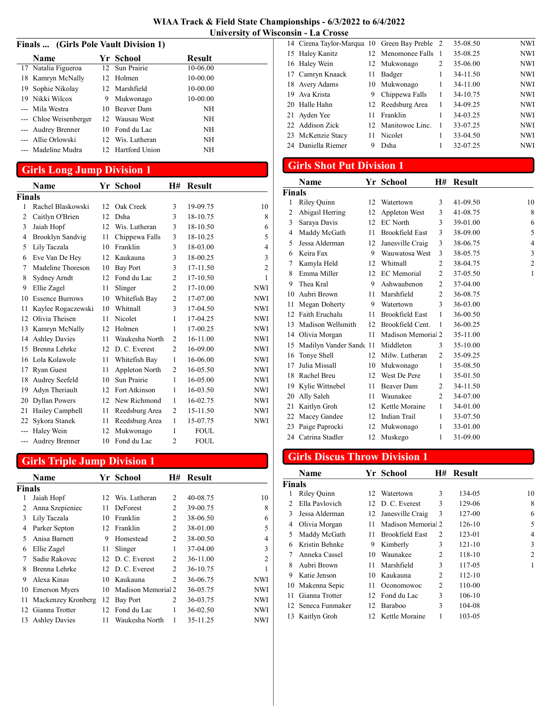#### Finals ... (Girls Pole Vault Division 1)

| <b>Name</b>            |    | <b>Yr School</b> | <b>Result</b>                                                                                                             |
|------------------------|----|------------------|---------------------------------------------------------------------------------------------------------------------------|
| 17 Natalia Figueroa    |    |                  | 10-06.00                                                                                                                  |
| 18 Kamryn McNally      |    |                  | 10-00.00                                                                                                                  |
| 19 Sophie Nikolay      |    |                  | 10-00.00                                                                                                                  |
| 19 Nikki Wilcox        | 9  | Mukwonago        | 10-00.00                                                                                                                  |
| --- Mila Westra        | 10 | Beaver Dam       | NH                                                                                                                        |
| --- Chloe Weisenberger |    |                  | <b>NH</b>                                                                                                                 |
| --- Audrey Brenner     |    |                  | <b>NH</b>                                                                                                                 |
| --- Allie Orlowski     |    |                  | <b>NH</b>                                                                                                                 |
| --- Madeline Mudra     |    |                  | NH                                                                                                                        |
|                        |    |                  | 12 Sun Prairie<br>12 Holmen<br>12 Marshfield<br>12 Wausau West<br>10 Fond du Lac<br>12 Wis. Lutheran<br>12 Hartford Union |

## Girls Long Jump Division 1

|               | Name                   |    | Yr School       | H#             | <b>Result</b> |                |
|---------------|------------------------|----|-----------------|----------------|---------------|----------------|
| <b>Finals</b> |                        |    |                 |                |               |                |
| 1             | Rachel Blaskowski      | 12 | Oak Creek       | 3              | 19-09.75      | 10             |
| 2             | Caitlyn O'Brien        | 12 | Dsha            | 3              | 18-10.75      | 8              |
| 3             | Jaiah Hopf             | 12 | Wis. Lutheran   | 3              | 18-10.50      | 6              |
| 4             | Brooklyn Sandvig       | 11 | Chippewa Falls  | 3              | 18-10.25      | 5              |
| 5             | Lily Taczala           | 10 | Franklin        | 3              | 18-03.00      | $\overline{4}$ |
| 6             | Eve Van De Hey         | 12 | Kaukauna        | 3              | 18-00.25      | 3              |
| 7             | Madeline Thoreson      | 10 | <b>Bay Port</b> | 3              | 17-11.50      | $\overline{2}$ |
| 8             | Sydney Arndt           | 12 | Fond du Lac     | $\overline{c}$ | 17-10.50      | 1              |
| 9             | Ellie Zagel            | 11 | Slinger         | $\overline{2}$ | 17-10.00      | <b>NWI</b>     |
| 10            | <b>Essence Burrows</b> | 10 | Whitefish Bay   | 2              | 17-07.00      | <b>NWI</b>     |
| 11            | Kaylee Rogaczewski     | 10 | Whitnall        | 3              | 17-04.50      | <b>NWI</b>     |
| 12            | Olivia Theisen         | 11 | Nicolet         | 1              | 17-04.25      | <b>NWI</b>     |
| 13            | Kamryn McNally         | 12 | Holmen          | 1              | 17-00.25      | <b>NWI</b>     |
| 14            | <b>Ashley Davies</b>   | 11 | Waukesha North  | 2              | 16-11.00      | <b>NWI</b>     |
| 15            | Brenna Lehrke          | 12 | D. C. Everest   | $\overline{2}$ | 16-09.00      | <b>NWI</b>     |
| 16            | Lola Kolawole          | 11 | Whitefish Bay   | 1              | 16-06.00      | <b>NWI</b>     |
| 17            | <b>Ryan Guest</b>      | 11 | Appleton North  | $\overline{c}$ | 16-05.50      | <b>NWI</b>     |
| 18            | Audrey Seefeld         | 10 | Sun Prairie     | 1              | 16-05.00      | <b>NWI</b>     |
| 19            | Adyn Theriault         | 12 | Fort Atkinson   | 1              | 16-03.50      | <b>NWI</b>     |
| 20            | <b>Dyllan Powers</b>   | 12 | New Richmond    | 1              | 16-02.75      | <b>NWI</b>     |
| 21            | Hailey Campbell        | 11 | Reedsburg Area  | 2              | 15-11.50      | <b>NWI</b>     |
| 22            | Sykora Stanek          | 11 | Reedsburg Area  | 1              | 15-07.75      | <b>NWI</b>     |
|               | Haley Wein             | 12 | Mukwonago       | 1              | <b>FOUL</b>   |                |
| $---$         | <b>Audrey Brenner</b>  | 10 | Fond du Lac     | $\overline{2}$ | <b>FOUL</b>   |                |

# Girls Triple Jump Division 1

|               | Name                 |                 | Yr School          | H#             | <b>Result</b> |                |
|---------------|----------------------|-----------------|--------------------|----------------|---------------|----------------|
| <b>Finals</b> |                      |                 |                    |                |               |                |
|               | Jaiah Hopf           | 12 <sub>1</sub> | Wis. Lutheran      | $\mathcal{L}$  | 40-08.75      | 10             |
| 2             | Anna Szepieniec      | 11              | <b>DeForest</b>    | $\mathcal{L}$  | 39-00.75      | 8              |
| 3             | Lily Taczala         | 10              | Franklin           | $\overline{c}$ | 38-06.50      | 6              |
| 4             | Parker Septon        | 12              | Franklin           | $\overline{c}$ | 38-01.00      | 5              |
| 5             | Anisa Barnett        | 9               | Homestead          | $\overline{c}$ | 38-00.50      | 4              |
| 6             | Ellie Zagel          | 11              | Slinger            | 1              | 37-04.00      | 3              |
| 7             | Sadie Rakovec        | 12              | D. C. Everest      | $\overline{c}$ | 36-11.00      | $\mathfrak{D}$ |
| 8             | Brenna Lehrke        |                 | 12 D.C. Everest    | 2              | 36-10.75      |                |
| 9             | Alexa Kinas          | 10              | Kaukauna           | $\mathfrak{D}$ | 36-06.75      | <b>NWI</b>     |
| 10            | <b>Emerson Myers</b> | 10              | Madison Memorial 2 |                | 36-05.75      | <b>NWI</b>     |
| 11            | Mackenzey Kronberg   | 12              | Bay Port           | 2              | 36-03.75      | <b>NWI</b>     |
|               | 12 Gianna Trotter    | 12              | Fond du Lac        | 1              | 36-02.50      | NWI            |
| 13            | <b>Ashley Davies</b> | 11              | Waukesha North     | 1              | 35-11.25      | <b>NWI</b>     |

| 14 Cirena Taylor-Marqua 10 Green Bay Preble 2 |    |                    |   | 35-08.50 | <b>NWI</b> |
|-----------------------------------------------|----|--------------------|---|----------|------------|
| 15 Haley Kanitz                               |    | 12 Menomonee Falls |   | 35-08.25 | <b>NWI</b> |
| 16 Haley Wein                                 |    | 12 Mukwonago       | 2 | 35-06.00 | <b>NWI</b> |
| 17 Camryn Knaack                              | 11 | Badger             | 1 | 34-11.50 | NWI.       |
| 18 Avery Adams                                |    | 10 Mukwonago       | 1 | 34-11.00 | <b>NWI</b> |
| 19 Ava Krista                                 | 9  | Chippewa Falls     | 1 | 34-10.75 | <b>NWI</b> |
| 20 Halle Hahn                                 |    | 12 Reedsburg Area  | 1 | 34-09.25 | NWI.       |
| 21 Ayden Yee                                  | 11 | Franklin           | 1 | 34-03.25 | <b>NWI</b> |
| 22 Addison Zick                               |    | 12 Manitowoc Linc. | 1 | 33-07.25 | NWI.       |
| 23 McKenzie Stacy                             | 11 | Nicolet            | 1 | 33-04.50 | <b>NWI</b> |
| 24 Daniella Riemer                            | 9  | Dsha               | 1 | 32-07.25 | NWI.       |
|                                               |    |                    |   |          |            |

# Girls Shot Put Division 1

|               | Name                    |    | Yr School              | H#             | <b>Result</b> |                |
|---------------|-------------------------|----|------------------------|----------------|---------------|----------------|
| <b>Finals</b> |                         |    |                        |                |               |                |
| 1             | Riley Quinn             | 12 | Watertown              | 3              | 41-09.50      | 10             |
| 2             | Abigail Herring         | 12 | Appleton West          | 3              | 41-08.75      | 8              |
| 3             | Saraya Davis            | 12 | <b>EC</b> North        | 3              | 39-01.00      | 6              |
| 4             | Maddy McGath            | 11 | <b>Brookfield East</b> | 3              | 38-09.00      | 5              |
| 5             | Jessa Alderman          | 12 | Janesville Craig       | 3              | 38-06.75      | $\overline{4}$ |
| 6             | Keira Fax               | 9  | Wauwatosa West         | 3              | 38-05.75      | 3              |
| 7             | Kamyla Held             | 12 | Whitnall               | $\overline{c}$ | 38-04.75      | 2              |
| 8             | Emma Miller             | 12 | <b>EC</b> Memorial     | $\overline{c}$ | 37-05.50      | 1              |
| 9             | Thea Kral               | 9  | Ashwaubenon            | $\overline{c}$ | 37-04.00      |                |
| 10            | Aubri Brown             | 11 | Marshfield             | $\overline{c}$ | 36-08.75      |                |
| 11            | Megan Doherty           | 9  | Watertown              | 3              | 36-03.00      |                |
| 12            | Faith Eruchalu          | 11 | <b>Brookfield East</b> | 1              | 36-00.50      |                |
| 13            | Madison Wellsmith       | 12 | Brookfield Cent.       | 1              | 36-00.25      |                |
|               | 14 Olivia Morgan        | 11 | Madison Memorial 2     |                | 35-11.00      |                |
| 15            | Madilyn Vander Sande 11 |    | Middleton              | 3              | 35-10.00      |                |
| 16            | Tonye Shell             | 12 | Milw. Lutheran         | 2              | 35-09.25      |                |
| 17            | Julia Missall           | 10 | Mukwonago              | 1              | 35-08.50      |                |
| 18            | Rachel Breu             | 12 | West De Pere           | 1              | 35-01.50      |                |
| 19            | Kylie Wittnebel         | 11 | Beaver Dam             | $\overline{c}$ | 34-11.50      |                |
| 20            | Ally Saleh              | 11 | Waunakee               | 2              | 34-07.00      |                |
| 21            | Kaitlyn Groh            | 12 | Kettle Moraine         | 1              | 34-01.00      |                |
| 22            | Macey Gandee            | 12 | <b>Indian Trail</b>    | 1              | 33-07.50      |                |
| 23            | Paige Paprocki          | 12 | Mukwonago              | 1              | 33-01.00      |                |
|               | 24 Catrina Stadler      | 12 | Muskego                | 1              | 31-09.00      |                |
|               |                         |    |                        |                |               |                |

# Girls Discus Throw Division 1

|               | Name               |                 | Yr School              | H#             | <b>Result</b> |                |
|---------------|--------------------|-----------------|------------------------|----------------|---------------|----------------|
| <b>Finals</b> |                    |                 |                        |                |               |                |
|               | Riley Quinn        | 12              | Watertown              | 3              | 134-05        | 10             |
| 2             | Ella Pavlovich     | 12 <sub>1</sub> | D. C. Everest          | 3              | 129-06        | 8              |
| 3             | Jessa Alderman     | 12              | Janesville Craig       | 3              | 127-00        | 6              |
| 4             | Olivia Morgan      | 11              | Madison Memorial 2     |                | 126-10        | 5              |
| 5             | Maddy McGath       | 11              | <b>Brookfield East</b> | $\overline{c}$ | 123-01        | 4              |
| 6             | Kristin Behnke     | 9               | Kimberly               | 3              | $121 - 10$    | 3              |
|               | Anneka Cassel      | 10              | Waunakee               | $\mathfrak{D}$ | $118-10$      | $\overline{2}$ |
| 8             | Aubri Brown        | 11              | Marshfield             | 3              | 117-05        |                |
| 9             | Katie Jenson       | 10              | Kaukauna               | $\overline{c}$ | $112 - 10$    |                |
| 10            | Makenna Sepic      | 11              | Oconomowoc             | $\overline{c}$ | $110 - 00$    |                |
| 11            | Gianna Trotter     | 12              | Fond du Lac            | 3              | 106-10        |                |
|               | 12 Seneca Funmaker | 12              | <b>Baraboo</b>         | 3              | 104-08        |                |
| 13            | Kaitlyn Groh       | 12.             | Kettle Moraine         |                | 103-05        |                |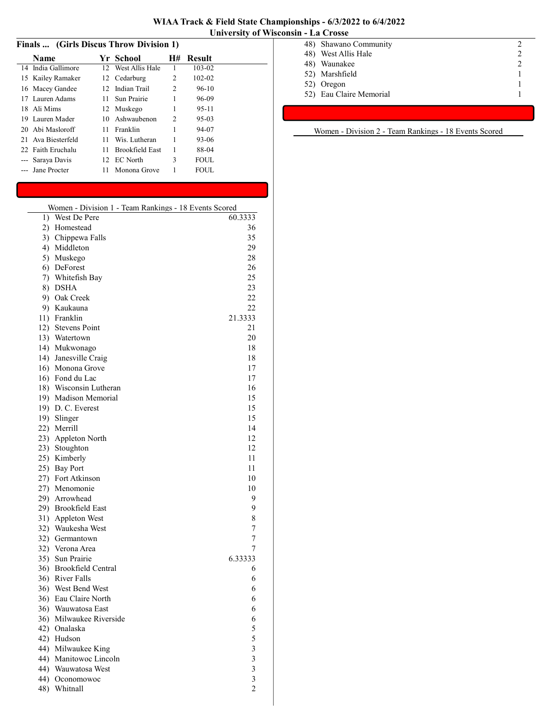| Finals  (Girls Discus Throw Division 1) |                    |                  |                 |                |               |
|-----------------------------------------|--------------------|------------------|-----------------|----------------|---------------|
|                                         | Name               |                  | Yr School       | H#             | <b>Result</b> |
|                                         | 14 India Gallimore | 12 <sup>12</sup> | West Allis Hale | 1              | 103-02        |
|                                         | 15 Kailey Ramaker  |                  | 12 Cedarburg    | 2              | 102-02        |
|                                         | 16 Macey Gandee    | 12.              | Indian Trail    | 2              | $96-10$       |
|                                         | 17 Lauren Adams    | 11.              | Sun Prairie     | 1              | 96-09         |
|                                         | 18 Ali Mims        |                  | 12 Muskego      | 1              | $95 - 11$     |
|                                         | 19 Lauren Mader    | 10               | Ashwaubenon     | $\overline{c}$ | $95-03$       |
|                                         | 20 Abi Masloroff   | 11               | Franklin        | 1              | 94-07         |
|                                         | 21 Ava Biesterfeld | 11.              | Wis. Lutheran   | 1              | 93-06         |
|                                         | 22 Faith Eruchalu  | 11               | Brookfield East | 1              | 88-04         |
|                                         | --- Saraya Davis   | 12               | <b>EC</b> North | 3              | FOUL.         |
|                                         | --- Jane Procter   | 11.              | Monona Grove    | 1              | FOUL.         |
|                                         |                    |                  |                 |                |               |

|    | Women - Division 1 - Team Rankings - 18 Events Scored |                         |
|----|-------------------------------------------------------|-------------------------|
| 1) | West De Pere                                          | $\overline{60.3}333$    |
|    | 2) Homestead                                          | 36                      |
|    | 3) Chippewa Falls                                     | 35                      |
|    | 4) Middleton                                          | 29                      |
|    | 5) Muskego                                            | 28                      |
|    | 6) DeForest                                           | 26                      |
|    | 7) Whitefish Bay                                      | 25                      |
|    | 8) DSHA                                               | 23                      |
|    | 9) Oak Creek                                          | 22                      |
|    | 9) Kaukauna                                           | 22                      |
|    | 11) Franklin                                          | 21.3333                 |
|    | 12) Stevens Point                                     | 21                      |
|    | 13) Watertown                                         | 20                      |
|    | 14) Mukwonago                                         | 18                      |
|    | 14) Janesville Craig                                  | 18                      |
|    | 16) Monona Grove                                      | 17                      |
|    | 16) Fond du Lac                                       | 17                      |
|    | 18) Wisconsin Lutheran                                | 16                      |
|    | 19) Madison Memorial                                  | 15                      |
|    | 19) D. C. Everest                                     | 15                      |
|    | 19) Slinger                                           | 15                      |
|    | 22) Merrill                                           | 14                      |
|    | 23) Appleton North                                    | 12                      |
|    | 23) Stoughton                                         | 12                      |
|    | 25) Kimberly                                          | 11                      |
|    | 25) Bay Port                                          | 11                      |
|    | 27) Fort Atkinson                                     | 10                      |
|    | 27) Menomonie                                         | 10                      |
|    | 29) Arrowhead                                         | 9                       |
|    | 29) Brookfield East                                   | 9                       |
|    | 31) Appleton West                                     | 8                       |
|    | 32) Waukesha West                                     | 7                       |
|    | 32) Germantown                                        | 7                       |
|    | 32) Verona Area                                       | 7                       |
|    | 35) Sun Prairie                                       | 6.33333                 |
|    | 36) Brookfield Central                                | 6                       |
|    | 36) River Falls                                       | 6                       |
|    | 36) West Bend West                                    | 6                       |
|    | 36) Eau Claire North                                  | 6                       |
|    | 36) Wauwatosa East                                    | 6                       |
|    | 36) Milwaukee Riverside                               | 6                       |
|    | 42) Onalaska                                          | 5                       |
|    | 42) Hudson                                            | 5                       |
|    | 44) Milwaukee King                                    | 3                       |
|    | 44) Manitowoc Lincoln                                 | $\overline{\mathbf{3}}$ |
|    | 44) Wauwatosa West                                    | $\overline{\mathbf{3}}$ |
|    | 44) Oconomowoc                                        | $\overline{\mathbf{3}}$ |
|    | 48) Whitnall                                          | $\overline{2}$          |
|    |                                                       |                         |

| 48) Shawano Community   |  |
|-------------------------|--|
| 48) West Allis Hale     |  |
| 48) Waunakee            |  |
| 52) Marshfield          |  |
| 52) Oregon              |  |
| 52) Eau Claire Memorial |  |

Women - Division 2 - Team Rankings - 18 Events Scored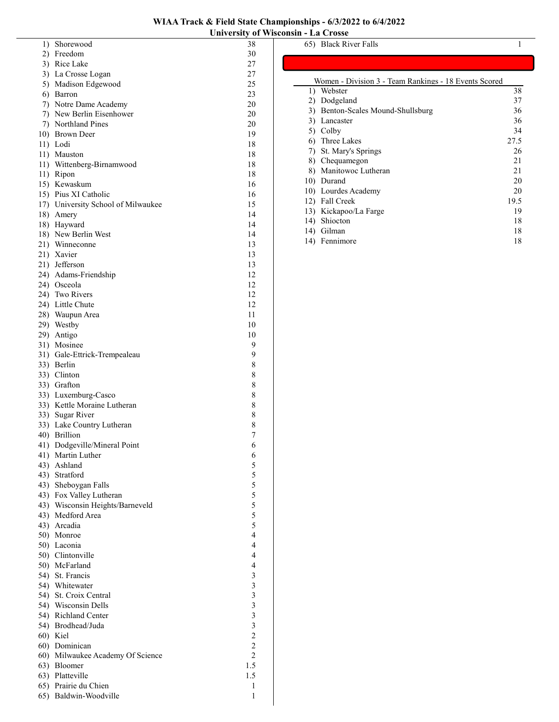| WIAA Track & Field State Championships - 6/3/2022 to 6/4/2022 |
|---------------------------------------------------------------|
| University of Wisconsin - La Crosse                           |

| 1) | Shorewood                                       | 38                       |
|----|-------------------------------------------------|--------------------------|
|    | 2) Freedom                                      | 30                       |
|    | 3) Rice Lake                                    | 27                       |
|    | 3) La Crosse Logan                              | 27                       |
|    | 5) Madison Edgewood                             | 25                       |
|    | 6) Barron                                       | 23                       |
|    | 7) Notre Dame Academy                           | 20                       |
|    | 7) New Berlin Eisenhower                        | 20                       |
|    | 7) Northland Pines                              | 20                       |
|    | 10) Brown Deer                                  | 19                       |
|    | 11) Lodi                                        | 18                       |
|    | 11) Mauston                                     | 18                       |
|    | 11) Wittenberg-Birnamwood                       | 18                       |
|    | 11) Ripon                                       | 18                       |
|    | 15) Kewaskum<br>15) Pius XI Catholic            | 16                       |
|    | 17) University School of Milwaukee              | 16<br>15                 |
|    | 18) Amery                                       | 14                       |
|    | 18) Hayward                                     | 14                       |
|    | 18) New Berlin West                             | 14                       |
|    | 21) Winneconne                                  | 13                       |
|    | 21) Xavier                                      | 13                       |
|    | 21) Jefferson                                   | 13                       |
|    | 24) Adams-Friendship                            | 12                       |
|    | 24) Osceola                                     | 12                       |
|    | 24) Two Rivers                                  | 12                       |
|    | 24) Little Chute                                | 12                       |
|    | 28) Waupun Area                                 | 11                       |
|    | 29) Westby                                      | 10                       |
|    | 29) Antigo                                      | 10                       |
|    | 31) Mosinee                                     | 9                        |
|    | 31) Gale-Ettrick-Trempealeau                    | 9                        |
|    | 33) Berlin                                      | 8                        |
|    | 33) Clinton                                     | 8                        |
|    | 33) Grafton                                     | 8                        |
|    | 33) Luxemburg-Casco                             | 8                        |
|    | 33) Kettle Moraine Lutheran                     | 8                        |
|    | 33) Sugar River                                 | 8                        |
|    | 33) Lake Country Lutheran                       | 8<br>7                   |
|    | 40) Brillion<br>41) Dodgeville/Mineral Point    | 6                        |
|    | 41) Martin Luther                               |                          |
|    | 43) Ashland                                     | 6<br>5                   |
|    | 43) Stratford                                   |                          |
|    | 43) Sheboygan Falls                             |                          |
|    | 43) Fox Valley Lutheran                         |                          |
|    | 43) Wisconsin Heights/Barneveld                 | 5 5 5 5 5 5 5            |
|    | 43) Medford Area                                |                          |
|    | 43) Arcadia                                     |                          |
|    | 50) Monroe                                      | $\overline{4}$           |
|    | 50) Laconia                                     | $\overline{\mathbf{4}}$  |
|    | 50) Clintonville                                | $\overline{\mathbf{4}}$  |
|    | 50) McFarland                                   | $\overline{\mathcal{L}}$ |
|    | 54) St. Francis                                 |                          |
|    | 54) Whitewater                                  |                          |
|    | 54) St. Croix Central                           | $3333$<br>$333$<br>$22$  |
|    | 54) Wisconsin Dells                             |                          |
|    | 54) Richland Center                             |                          |
|    | 54) Brodhead/Juda                               |                          |
|    | 60) Kiel                                        |                          |
|    | 60) Dominican                                   | $\overline{c}$           |
|    | 60) Milwaukee Academy Of Science<br>63) Bloomer | 1.5                      |
|    | 63) Platteville                                 | 1.5                      |
|    | 65) Prairie du Chien                            | 1                        |
|    | 65) Baldwin-Woodville                           | 1                        |
|    |                                                 |                          |

|     | Women - Division 3 - Team Rankings - 18 Events Scored |      |
|-----|-------------------------------------------------------|------|
| 1)  | Webster                                               | 38   |
| 2)  | Dodgeland                                             | 37   |
| 3)  | Benton-Scales Mound-Shullsburg                        | 36   |
| 3)  | Lancaster                                             | 36   |
| 5)  | Colby                                                 | 34   |
| 6)  | Three Lakes                                           | 27.5 |
| 7)  | St. Mary's Springs                                    | 26   |
| 8)  | Chequamegon                                           | 2.1  |
| 8)  | Manitowoc Lutheran                                    | 2.1  |
|     | 10) Durand                                            | 20   |
|     | 10) Lourdes Academy                                   | 20   |
|     | 12) Fall Creek                                        | 19.5 |
| 13) | Kickapoo/La Farge                                     | 19   |
| 14) | Shiocton                                              | 18   |
| 14) | Gilman                                                | 18   |
| 14) | Fennimore                                             | 18   |

65) Black River Falls 1